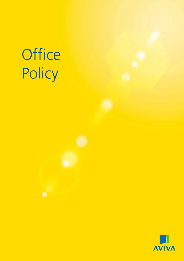# **Office** Policy

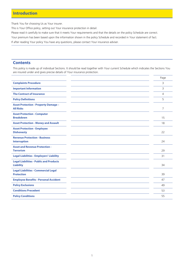### **Introduction**

Thank You for choosing Us as Your insurer.

This is Your Office policy, setting out Your insurance protection in detail.

Please read it carefully to make sure that it meets Your requirements and that the details on the policy Schedule are correct.

Your premium has been based upon the information shown in the policy Schedule and recorded in Your statement of fact.

If after reading Your policy You have any questions, please contact Your insurance adviser.

### **Contents**

This policy is made up of individual Sections. It should be read together with Your current Schedule which indicates the Sections You are insured under and gives precise details of Your insurance protection.

|                                                                    | Page           |
|--------------------------------------------------------------------|----------------|
| <b>Complaints Procedure</b>                                        | 3              |
| <b>Important Information</b>                                       | 3              |
| <b>The Contract of Insurance</b>                                   | $\overline{4}$ |
| <b>Policy Definitions</b>                                          | 5              |
| <b>Asset Protection - Property Damage -</b><br><b>All Risks</b>    | $\overline{7}$ |
| <b>Asset Protection - Computer</b><br><b>Breakdown</b>             | 15             |
| <b>Asset Protection - Money and Assault</b>                        | 18             |
| <b>Asset Protection - Employee</b><br><b>Dishonesty</b>            | 22             |
| <b>Revenue Protection - Business</b><br><b>Interruption</b>        | 24             |
| <b>Asset and Revenue Protection -</b><br><b>Terrorism</b>          | 29             |
| <b>Legal Liabilities - Employers' Liability</b>                    | 31             |
| <b>Legal Liabilities - Public and Products</b><br><b>Liability</b> | 34             |
| <b>Legal Liabilities - Commercial Legal</b><br><b>Protection</b>   | 39             |
| <b>Employee Benefits - Personal Accident</b>                       | 47             |
| <b>Policy Exclusions</b>                                           | 49             |
| <b>Conditions Precedent</b>                                        | 53             |
| <b>Policy Conditions</b>                                           | 55             |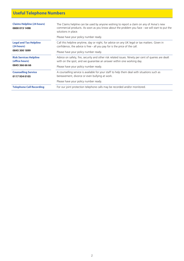# **Useful Telephone Numbers**

| <b>Claims Helpline (24 hours)</b><br>0800 015 1498 | The Claims helpline can be used by anyone wishing to report a claim on any of Aviva's new<br>commercial products. As soon as you know about the problem you face - we will start to put the<br>solutions in place. |
|----------------------------------------------------|--------------------------------------------------------------------------------------------------------------------------------------------------------------------------------------------------------------------|
|                                                    | Please have your policy number ready.                                                                                                                                                                              |
| <b>Legal and Tax Helpline</b><br>(24 hours)        | Call this helpline anytime, day or night, for advice on any UK legal or tax matters. Given in<br>confidence, the advice is free - all you pay for is the price of the call.                                        |
| 0845 300 1899                                      | Please have your policy number ready.                                                                                                                                                                              |
| <b>Risk Services Helpline</b><br>(office hours)    | Advice on safety, fire, security and other risk related issues. Ninety per cent of queries are dealt<br>with on the spot, and we guarantee an answer within one working day.                                       |
| 0845 366 66 66                                     | Please have your policy number ready.                                                                                                                                                                              |
| <b>Counselling Service</b><br>01179340105          | A counselling service is available for your staff to help them deal with situations such as<br>bereavement, divorce or even bullying at work.                                                                      |
|                                                    | Please have your policy number ready.                                                                                                                                                                              |
| <b>Telephone Call Recording</b>                    | For our joint protection telephone calls may be recorded and/or monitored.                                                                                                                                         |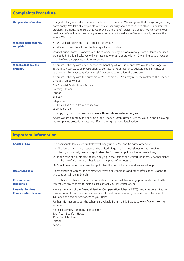| <b>Complaints Procedure</b>             |                                                                                                                                                                                                                                                                                                                                                                                                                             |
|-----------------------------------------|-----------------------------------------------------------------------------------------------------------------------------------------------------------------------------------------------------------------------------------------------------------------------------------------------------------------------------------------------------------------------------------------------------------------------------|
| <b>Our promise of service</b>           | Our goal is to give excellent service to all Our customers but We recognise that things do go wrong<br>occasionally. We take all complaints We receive seriously and aim to resolve all of Our customers'<br>problems promptly. To ensure that We provide the kind of service You expect We welcome Your<br>feedback. We will record and analyse Your comments to make sure We continually improve the<br>service We offer. |
| <b>What will happen if You</b>          | • We will acknowledge Your complaint promptly.                                                                                                                                                                                                                                                                                                                                                                              |
| complain?                               | We aim to resolve all complaints as quickly as possible.<br>٠                                                                                                                                                                                                                                                                                                                                                               |
|                                         | Most of our customers' concerns can be resolved quickly but occasionally more detailed enquiries<br>are needed. If this is likely, We will contact You with an update within 10 working days of receipt<br>and give You an expected date of response.                                                                                                                                                                       |
| <b>What to do if You are</b><br>unhappy | If You are unhappy with any aspect of the handling of Your insurance We would encourage You,<br>in the first instance, to seek resolution by contacting Your insurance adviser. You can write, or<br>telephone, whichever suits You and ask Your contact to review the problem.                                                                                                                                             |
|                                         | If You are unhappy with the outcome of Your complaint, You may refer the matter to the Financial<br>Ombudsman Service at:                                                                                                                                                                                                                                                                                                   |
|                                         | The Financial Ombudsman Service<br>Exchange Tower<br>London<br>E14 9SR                                                                                                                                                                                                                                                                                                                                                      |
|                                         | Telephone:<br>0800 023 4567 (free from landlines) or<br>0300 123 9123                                                                                                                                                                                                                                                                                                                                                       |
|                                         | Or simply log on to their website at www.financial-ombudsman.org.uk .                                                                                                                                                                                                                                                                                                                                                       |
|                                         | Whilst We are bound by the decision of the Financial Ombudsman Service, You are not. Following<br>the complaints procedure does not affect Your right to take legal action.                                                                                                                                                                                                                                                 |

| <b>Important Information</b>                            |                                                                                                                                                                                                                                                                                                                                                                                                                                                                                                                                                                |
|---------------------------------------------------------|----------------------------------------------------------------------------------------------------------------------------------------------------------------------------------------------------------------------------------------------------------------------------------------------------------------------------------------------------------------------------------------------------------------------------------------------------------------------------------------------------------------------------------------------------------------|
| <b>Choice of Law</b>                                    | The appropriate law as set out below will apply unless You and Us agree otherwise:<br>The law applying in that part of the United Kingdom, Channel Islands or the Isle of Man in<br>(1)<br>which you normally live or (if applicable) the first named policyholder normally lives; or<br>(2) In the case of a business, the law applying in that part of the United Kingdom, Channel Islands<br>or the Isle of Man where it has its principal place of business; or<br>(3) Should neither of the above be applicable, the law of England and Wales will apply. |
| <b>Use of Language</b>                                  | Unless otherwise agreed, the contractual terms and conditions and other information relating to<br>this contract will be in English.                                                                                                                                                                                                                                                                                                                                                                                                                           |
| <b>Customers with</b><br><b>Disabilities</b>            | This policy and other associated documentation is also available in large print, audio and Braille. If<br>you require any of these formats please contact Your insurance adviser.                                                                                                                                                                                                                                                                                                                                                                              |
| <b>Financial Services</b><br><b>Compensation Scheme</b> | We are members of the Financial Services Compensation Scheme (FSCS). You may be entitled to<br>compensation from this scheme if we cannot meet our obligations, depending on the type of<br>insurance and the circumstances of your claim.<br>Further information about the scheme is available from the FSCS website www.fscs.org.uk, or<br>write to:<br>Financial Services Compensation Scheme<br>10th floor, Beaufort House<br>15 St Botolph Street<br>London                                                                                               |
|                                                         | EC3A 7QU.                                                                                                                                                                                                                                                                                                                                                                                                                                                                                                                                                      |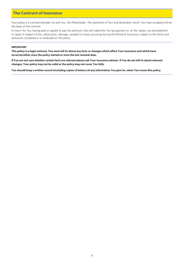## **The Contract of Insurance**

Your policy is a contract between Us and You, the Policyholder. The statement of fact and declaration which You have accepted will be the basis of the contract.

In return for You having paid or agreed to pay the premium, We will indemnify You by payment or, at Our option, by reinstatement or repair in respect of loss, destruction, damage, accident or injury occurring during the Period of Insurance, subject to the terms and exclusions contained in or endorsed on the policy.

#### **IMPORTANT**

**This policy is a legal contract. You must tell Us about any facts or changes which affect Your insurance and which have occurred either since the policy started or since the last renewal date.**

**If You are not sure whether certain facts are relevant please ask Your insurance adviser. If You do not tell Us about relevant changes, Your policy may not be valid or the policy may not cover You fully.**

**You should keep a written record (including copies of letters) of any information You give Us, when You renew this policy.**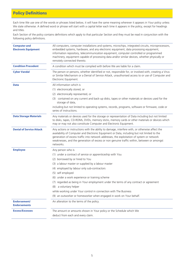# **Policy Definitions**

Each time We use one of the words or phrases listed below, it will have the same meaning wherever it appears in Your policy unless We state otherwise. A defined word or phrase will start with a capital letter each time it appears in the policy, except for headings and titles.

Each Section of the policy contains definitions which apply to that particular Section and they must be read in conjunction with the following policy definitions.

| <b>Computer and</b><br><b>Electronic Equipment</b> | All computers, computer installations and systems, microchips, integrated circuits, microprocessors,<br>embedded systems, hardware, and any electronic equipment, data processing equipment,<br>information repository, telecommunication equipment, computer controlled or programmed<br>machinery, equipment capable of processing data and/or similar devices, whether physically or<br>remotely connected thereto. |
|----------------------------------------------------|------------------------------------------------------------------------------------------------------------------------------------------------------------------------------------------------------------------------------------------------------------------------------------------------------------------------------------------------------------------------------------------------------------------------|
| <b>Condition Precedent</b>                         | A condition which must be complied with before We are liable for a claim.                                                                                                                                                                                                                                                                                                                                              |
| <b>Cyber Vandal</b>                                | The person or persons, whether identified or not, responsible for, or involved with, creating a Virus<br>or Similar Mechanism or a Denial of Service Attack, unauthorised access to or use of Computer and<br>Electronic Equipment.                                                                                                                                                                                    |
| <b>Data</b>                                        | All information which is                                                                                                                                                                                                                                                                                                                                                                                               |
|                                                    | (1) electronically stored, or                                                                                                                                                                                                                                                                                                                                                                                          |
|                                                    | (2) electronically represented, or                                                                                                                                                                                                                                                                                                                                                                                     |
|                                                    | (3) contained on any current and back-up disks, tapes or other materials or devices used for the<br>storage of data,                                                                                                                                                                                                                                                                                                   |
|                                                    | including but not limited to operating systems, records, programs, software or firmware, code or<br>series of instructions.                                                                                                                                                                                                                                                                                            |
| <b>Data Storage Materials</b>                      | Any materials or devices used for the storage or representation of Data including but not limited<br>to disks, tapes, CD-ROMs, DVDs, memory sticks, memory cards or other materials or devices which<br>may or may not also constitute Computer and Electronic Equipment.                                                                                                                                              |
| <b>Denial of Service Attack</b>                    | Any actions or instructions with the ability to damage, interfere with, or otherwise affect the<br>availability of Computer and Electronic Equipment or Data, including but not limited to the<br>generation of excess traffic into network addresses, the exploitation of system or network<br>weaknesses, and the generation of excess or non genuine traffic within, between or amongst<br>networks.                |
| <b>Employee</b>                                    | Any person who is                                                                                                                                                                                                                                                                                                                                                                                                      |
|                                                    | (1) under a contract of service or apprenticeship with You                                                                                                                                                                                                                                                                                                                                                             |
|                                                    | (2) borrowed by or hired to You                                                                                                                                                                                                                                                                                                                                                                                        |
|                                                    | (3) a labour master or supplied by a labour master                                                                                                                                                                                                                                                                                                                                                                     |
|                                                    | (4) employed by labour only sub-contractors                                                                                                                                                                                                                                                                                                                                                                            |
|                                                    | (5) self employed                                                                                                                                                                                                                                                                                                                                                                                                      |
|                                                    | (6) under a work experience or training scheme                                                                                                                                                                                                                                                                                                                                                                         |
|                                                    | (7) regarded as being in Your employment under the terms of any contract or agreement                                                                                                                                                                                                                                                                                                                                  |
|                                                    | (8) a voluntary helper                                                                                                                                                                                                                                                                                                                                                                                                 |
|                                                    | while working under Your control in connection with The Business                                                                                                                                                                                                                                                                                                                                                       |
|                                                    | (9) an outworker or homeworker when engaged in work on Your behalf.                                                                                                                                                                                                                                                                                                                                                    |
| Endorsement/<br><b>Endorsements</b>                | An alteration to the terms of the policy.                                                                                                                                                                                                                                                                                                                                                                              |
| <b>Excess/Excesses</b>                             | The amount or amounts shown in Your policy or the Schedule which We                                                                                                                                                                                                                                                                                                                                                    |
|                                                    | deduct from each and every claim.                                                                                                                                                                                                                                                                                                                                                                                      |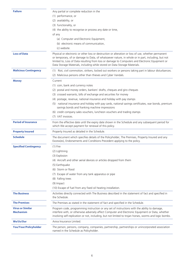| <b>Failure</b>                              | Any partial or complete reduction in the                                                                                                                                                                                                                                                                   |
|---------------------------------------------|------------------------------------------------------------------------------------------------------------------------------------------------------------------------------------------------------------------------------------------------------------------------------------------------------------|
|                                             | (1) performance, or                                                                                                                                                                                                                                                                                        |
|                                             | (2) availability, or                                                                                                                                                                                                                                                                                       |
|                                             | (3) functionality, or                                                                                                                                                                                                                                                                                      |
|                                             | (4) the ability to recognise or process any date or time,                                                                                                                                                                                                                                                  |
|                                             | of any                                                                                                                                                                                                                                                                                                     |
|                                             | (a) Computer and Electronic Equipment,                                                                                                                                                                                                                                                                     |
|                                             | (b) electronic means of communication,                                                                                                                                                                                                                                                                     |
|                                             | (c) website.                                                                                                                                                                                                                                                                                               |
| <b>Loss of Data</b>                         | Physical or electronic or other loss or destruction or alteration or loss of use, whether permanent                                                                                                                                                                                                        |
|                                             | or temporary, of or damage to Data, of whatsoever nature, in whole or in part, including, but not<br>limited to, Loss of Data resulting from loss or damage to Computers and Electronic Equipment or<br>Data Storage Materials, including while stored on Data Storage Materials.                          |
| <b>Malicious Contingency</b>                | (1) Riot, civil commotion, strikers, locked out workers or persons taking part in labour disturbances.<br>(2) Malicious persons other than thieves and Cyber Vandals.                                                                                                                                      |
| <b>Money</b>                                | Current                                                                                                                                                                                                                                                                                                    |
|                                             | (1) coin, bank and currency notes                                                                                                                                                                                                                                                                          |
|                                             | (2) postal and money orders, bankers' drafts, cheques and giro cheques                                                                                                                                                                                                                                     |
|                                             | (3) crossed warrants, bills of exchange and securities for money                                                                                                                                                                                                                                           |
|                                             | (4) postage, revenue, national insurance and holiday with pay stamps                                                                                                                                                                                                                                       |
|                                             | (5) national insurance and holiday with pay cards, national savings certificates, war bonds, premium                                                                                                                                                                                                       |
|                                             | savings bonds and franking machine impressions                                                                                                                                                                                                                                                             |
|                                             | (6) credit company sales vouchers, luncheon vouchers and trading stamps                                                                                                                                                                                                                                    |
|                                             | (7) VAT invoices.                                                                                                                                                                                                                                                                                          |
| <b>Period of Insurance</b>                  | From the effective date until the expiry date shown in the Schedule and any subsequent period for<br>which We accept payment for renewal of this policy.                                                                                                                                                   |
| <b>Property Insured</b>                     | Property Insured as detailed in the Schedule.                                                                                                                                                                                                                                                              |
| <b>Schedule</b>                             | The document which specifies details of the Policyholder, The Premises, Property Insured and any<br>Excess(es), Endorsements and Conditions Precedent applying to the policy.                                                                                                                              |
| <b>Specified Contingency</b>                | $(1)$ Fire                                                                                                                                                                                                                                                                                                 |
|                                             | (2) Lightning                                                                                                                                                                                                                                                                                              |
|                                             | (3) Explosion                                                                                                                                                                                                                                                                                              |
|                                             | (4) Aircraft and other aerial devices or articles dropped from them                                                                                                                                                                                                                                        |
|                                             | (5) Earthquake                                                                                                                                                                                                                                                                                             |
|                                             | (6) Storm or flood                                                                                                                                                                                                                                                                                         |
|                                             | (7) Escape of water from any tank apparatus or pipe                                                                                                                                                                                                                                                        |
|                                             | (8) Falling trees                                                                                                                                                                                                                                                                                          |
|                                             | (9) Impact                                                                                                                                                                                                                                                                                                 |
|                                             | (10) Escape of fuel from any fixed oil heating installation.                                                                                                                                                                                                                                               |
| <b>The Business</b>                         | Activities directly connected with The Business described in the statement of fact and specified in                                                                                                                                                                                                        |
|                                             | the Schedule.                                                                                                                                                                                                                                                                                              |
| <b>The Premises</b>                         | The Premises as stated in the statement of fact and specified in the Schedule.                                                                                                                                                                                                                             |
| <b>Virus or Similar</b><br><b>Mechanism</b> | Program code, programming instruction or any set of instructions with the ability to damage,<br>interfere with, or otherwise adversely affect Computer and Electronic Equipment or Data, whether<br>involving self-replication or not, including, but not limited to trojan horses, worms and logic bombs. |
| <b>We/Us/Our</b>                            | Aviva Insurance Limited.                                                                                                                                                                                                                                                                                   |
| You/Your/Policyholder                       | The person, persons, company, companies, partnership, partnerships or unincorporated association<br>named in the Schedule as Policyholder.                                                                                                                                                                 |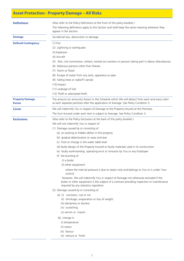# **Asset Protection - Property Damage – All Risks**

| <b>Definitions</b>                      | (Also refer to the Policy Definitions at the front of this policy booklet.)<br>The following definitions apply to this Section and shall keep the same meaning wherever they<br>appear in the Section.<br>Accidental loss, destruction or damage.                                                                                                                                                                                                                                                                                                                                                                                                                                                                                                                                                                                                                                                                                                                                                                                                                                                                                                                                         |  |
|-----------------------------------------|-------------------------------------------------------------------------------------------------------------------------------------------------------------------------------------------------------------------------------------------------------------------------------------------------------------------------------------------------------------------------------------------------------------------------------------------------------------------------------------------------------------------------------------------------------------------------------------------------------------------------------------------------------------------------------------------------------------------------------------------------------------------------------------------------------------------------------------------------------------------------------------------------------------------------------------------------------------------------------------------------------------------------------------------------------------------------------------------------------------------------------------------------------------------------------------------|--|
| <b>Damage</b>                           |                                                                                                                                                                                                                                                                                                                                                                                                                                                                                                                                                                                                                                                                                                                                                                                                                                                                                                                                                                                                                                                                                                                                                                                           |  |
| <b>Defined Contingency</b>              | $(1)$ Fire<br>(2) Lightning or earthquake<br>(3) Explosion<br>(4) Aircraft<br>(5) Riot, civil commotion, strikers, locked out workers or persons taking part in labour disturbances<br>(6) Malicious persons other than thieves<br>(7) Storm or flood<br>(8) Escape of water from any tank, apparatus or pipe<br>(9) Falling trees or radio/TV aerials<br>(10) Impact<br>(11) Leakage of fuel<br>(12) Theft or attempted theft.                                                                                                                                                                                                                                                                                                                                                                                                                                                                                                                                                                                                                                                                                                                                                           |  |
| <b>Property Damage</b><br><b>Excess</b> | The amount (or amounts) shown in the Schedule which We will deduct from each and every claim<br>at each separate premises after the application of Average. See Policy Condition 3.                                                                                                                                                                                                                                                                                                                                                                                                                                                                                                                                                                                                                                                                                                                                                                                                                                                                                                                                                                                                       |  |
| Cover                                   | We will indemnify You in respect of Damage to the Property Insured at the Premises.<br>The Sum Insured under each item is subject to Average. See Policy Condition 3.                                                                                                                                                                                                                                                                                                                                                                                                                                                                                                                                                                                                                                                                                                                                                                                                                                                                                                                                                                                                                     |  |
| <b>Exclusions</b>                       | (Also refer to the Policy Exclusions at the back of this policy booklet.)<br>We will not indemnify You in respect of<br>(1) Damage caused by or consisting of<br>(a) an existing or hidden defect in the property<br>(b) gradual deterioration or wear and tear<br>(c) frost or change in the water table level<br>(d) faulty design of the Property Insured or faulty materials used in its construction<br>(e) faulty workmanship, operating error or omission by You or any Employee<br>(f) the bursting of<br>(i) a boiler<br>(ii) other equipment<br>where the internal pressure is due to steam only and belongs to You or is under Your<br>control.<br>However, We will indemnify You in respect of Damage not otherwise excluded if the<br>boiler or other equipment is the subject of a contract providing inspection or maintenance<br>required by any statutory regulation.<br>(2) Damage caused by or consisting of<br>(a) (i) corrosion, rust or rot<br>(ii) shrinkage, evaporation or loss of weight<br>(iii) dampness or dryness<br>(iv) scratching<br>(v) vermin or insects<br>(b) change in<br>(i) temperature<br>(ii) colour<br>(iii) flavour<br>(iv) texture or finish |  |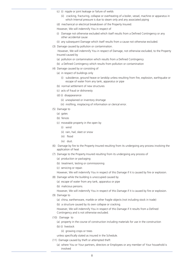- (c) (i) nipple or joint leakage or failure of welds
	- (ii) cracking, fracturing, collapse or overheating of a boiler, vessel, machine or apparatus in which Internal pressure is due to steam only and any associated piping
- (d) mechanical or electrical breakdown of the Property Insured.

However, We will indemnify You in respect of

- (i) Damage not otherwise excluded which itself results from a Defined Contingency or any other accidental cause
- (ii) any subsequent Damage which itself results from a cause not otherwise excluded.
- (3) Damage caused by pollution or contamination.

 However, We will indemnify You in respect of Damage, not otherwise excluded, to the Property Insured caused by

- (a) pollution or contamination which results from a Defined Contingency
- (b) a Defined Contingency which results from pollution or contamination
- (4) Damage caused by or consisting of
	- (a) in respect of buildings only
		- (i) subsidence, ground heave or landslip unless resulting from fire, explosion, earthquake or escape of water from any tank, apparatus or pipe
	- (b) normal settlement of new structures
	- (c) acts of fraud or dishonesty
	- (d) (i) disappearance
		- (ii) unexplained or inventory shortage
		- (iii) misfiling, misplacing of information or clerical error.
- (5) Damage to
	- (a) gates
	- (b) fences
	- (c) moveable property in the open by
		- (i) wind
		- (ii) rain, hail, sleet or snow
		- (iii) flood
		- (iv) dust.
- (6) Damage by fire to the Property Insured resulting from its undergoing any process involving the application of heat
- (7) Damage to the Property Insured resulting from its undergoing any process of
	- (a) production or packaging
	- (b) treatment, testing or commissioning
	- (c) servicing or repair.

However, We will indemnify You in respect of this Damage if it is caused by fire or explosion.

- (8) Damage while the building is unoccupied caused by
	- (a) escape of water from any tank, apparatus or pipe
	- (b) malicious persons.

However, We will indemnify You in respect of this Damage if it is caused by fire or explosion.

- (9) Damage to
	- (a) china, earthenware, marble or other fragile objects (not including stock in trade)
	- (b) a structure caused by its own collapse or cracking.

However, We will indemnify You in respect of this Damage if it results from a Defined Contingency and is not otherwise excluded.

- (10) Damage to
	- (a) property in the course of construction including materials for use in the construction
	- (b) (i) livestock
		- (ii) growing crops or trees

unless specifically stated as insured in the Schedule.

- (11) Damage caused by theft or attempted theft
	- (a) where You or Your partners, directors or Employees or any member of Your household is involved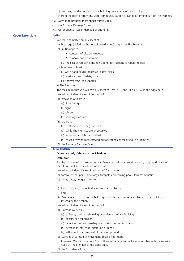|                         | (b) from any building or part of any building not capable of being locked<br>(c) from the open or from any yard, compound, garden or car park forming part of The Premises.<br>(12) Damage to property more specifically insured.<br>(13) the Property Damage Excess.<br>(14) Consequential loss or damage of any kind. |
|-------------------------|-------------------------------------------------------------------------------------------------------------------------------------------------------------------------------------------------------------------------------------------------------------------------------------------------------------------------|
| <b>Cover Extensions</b> | 1. Glass<br>We will indemnify You in respect of                                                                                                                                                                                                                                                                         |
|                         | (a) breakage (including the cost of boarding up) of glass at The Premises                                                                                                                                                                                                                                               |
|                         | (b) (i) Damage to                                                                                                                                                                                                                                                                                                       |
|                         | contents of display windows                                                                                                                                                                                                                                                                                             |
|                         | ■ window and door frames                                                                                                                                                                                                                                                                                                |
|                         |                                                                                                                                                                                                                                                                                                                         |
|                         | (ii) the cost of removing and reinstating obstructions to replacing glass<br>(c) breakage of fixed                                                                                                                                                                                                                      |
|                         |                                                                                                                                                                                                                                                                                                                         |
|                         | (i) wash hand basins, pedestals, baths, sinks                                                                                                                                                                                                                                                                           |
|                         | (ii) lavatory bowls, bidets, cisterns                                                                                                                                                                                                                                                                                   |
|                         | (iii) shower trays, splashbacks<br>at The Premises.                                                                                                                                                                                                                                                                     |
|                         |                                                                                                                                                                                                                                                                                                                         |
|                         | The maximum that We will pay in respect of item (b) (i) and (ii) is $£2,000$ in the aggregate.                                                                                                                                                                                                                          |
|                         | We will not indemnify You in respect of                                                                                                                                                                                                                                                                                 |
|                         | (1) breakage of glass in                                                                                                                                                                                                                                                                                                |
|                         | (a) light fittings                                                                                                                                                                                                                                                                                                      |
|                         | (b) signs                                                                                                                                                                                                                                                                                                               |
|                         | (c) vehicles                                                                                                                                                                                                                                                                                                            |
|                         | (d) vending machines                                                                                                                                                                                                                                                                                                    |
|                         | (2) breakage                                                                                                                                                                                                                                                                                                            |
|                         | (a) to stock in trade or goods in trust                                                                                                                                                                                                                                                                                 |
|                         | (b) while The Premises are unoccupied                                                                                                                                                                                                                                                                                   |
|                         | (c) in transit or while being fitted                                                                                                                                                                                                                                                                                    |
|                         | (d) caused by workmen carrying out alterations or repairs to The Premises                                                                                                                                                                                                                                               |
|                         | (3) the Property Damage Excess.                                                                                                                                                                                                                                                                                         |
|                         | 2. Subsidence                                                                                                                                                                                                                                                                                                           |
|                         | Operative only if shown in the Schedule.                                                                                                                                                                                                                                                                                |
|                         | <b>Definition</b>                                                                                                                                                                                                                                                                                                       |
|                         | For the purpose of this extension only, Damage shall mean subsidence of, or ground heave of<br>the site of the Property Insured or landslip.                                                                                                                                                                            |
|                         | We will only indemnify You in respect of Damage to                                                                                                                                                                                                                                                                      |
|                         | (a) forecourts, car parks, driveways, footpaths, swimming pools, terraces or patios                                                                                                                                                                                                                                     |
|                         | (b) walls, gates, hedges or fences                                                                                                                                                                                                                                                                                      |
|                         | if                                                                                                                                                                                                                                                                                                                      |
|                         | (i) if such property is specifically insured by this Section<br>and                                                                                                                                                                                                                                                     |
|                         | (ii) Damage also occurs to the building to which such property applies and that building is<br>insured by this Section.                                                                                                                                                                                                 |
|                         | We will not indemnify You in respect of                                                                                                                                                                                                                                                                                 |
|                         | (1) Damage caused by                                                                                                                                                                                                                                                                                                    |
|                         | (a) collapse, cracking, shrinking or settlement of any building                                                                                                                                                                                                                                                         |
|                         | (b) coastal or river erosion                                                                                                                                                                                                                                                                                            |
|                         | (c) defective design or inadequate construction of foundations                                                                                                                                                                                                                                                          |
|                         | (d) demolition, structural alteration or repair                                                                                                                                                                                                                                                                         |
|                         | (e) settlement or movement of made up ground.                                                                                                                                                                                                                                                                           |
|                         | (2) Damage as a result of movement of solid floor slabs.                                                                                                                                                                                                                                                                |

- However, We will indemnify You if there is Damage to the foundations beneath the exterior walls of The Premises at the same time.
- (3) the Subsidence Excess.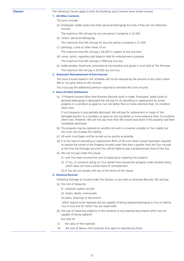**Clauses** The following Clauses apply to both the Buildings and Contents items where insured.

### **1. All Other Contents**

- This term includes
- (a) Employees' pedal cycles and other personal belongings but only if they are not otherwise insured.

The maximum We will pay for any one person's property is £2,500.

- (b) visitors' personal belongings
- The maximum that We will pay for any one person's property is £1,000.
- (c) paintings, curios or other works of art

The maximum that We will pay is £6,000 in respect of any one item.

- (d) wines, spirits, cigarettes and tobacco held for entertainment purposes. The maximum that We will pay is £500 any one loss.
- (e) trade samples, brochures, promotional merchandise and goods in trust held at The Premises. The maximum We will pay is £5,000 any one loss.

#### **2. Automatic Reinstatement of Sum Insured**

The Sums Insured stated in the Schedule will not be reduced by the amount of any claim unless We or You give notice to the contrary.

You must pay the additional premium required to reinstate the Sums Insured.

#### **3. Basis of Claim Settlement**

(a) If Property Insured other than Business Records stock in trade, Employees' pedal cycles or personal belongings is destroyed We will pay for its rebuilding or replacement by similar property in a condition as good as, but not better than or more extensive than, its condition when new.

If such property is only partially destroyed, We will pay for replacement or repair of the damaged portion to a condition as good as, but not better or more extensive than, its condition when new. However, We will not pay more than We would have done if the property had been completely destroyed.

- (b) The property may be replaced on another site and in a manner suitable to Your needs, but this must not increase Our liability.
- (c) All work must begin and be carried out as quickly as possible.
- (d) If at the time of rebuilding or replacement 85% of the cost which would have been required to replace the whole of the Property Insured under that item is greater than the Sum Insured at the time the Damage occurred You will be liable to pay a proportionate share of the loss.
- (e) We will not pay under this clause
	- (i) until You have incurred the cost of replacing or repairing the property
	- (ii) if You, or someone acting on Your behalf have insured the property under another policy which does not have a similar basis of reinstatement

(iii) if You do not comply with any of the terms of this clause.

#### **4. Business Records**

Following Damage as insured under this Section, to any item on Business Records, We will pay (a) the cost of replacing

- (i) computer system records
- (ii) books, deeds, manuscripts
- (iii) plans, drawings or documents

 which require to be replaced and are capable of being replaced belonging to You or held by You in trust and for which You are responsible.

(b) the cost of obtaining evidence of the contents or any essential documents which are not capable of being replaced

but only for

- (i) the value of the materials
- (ii) the cost of labour and computer time spent in reproducing them.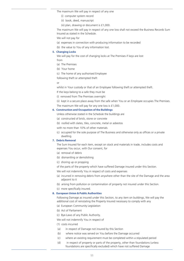The maximum We will pay in respect of any one

- (i) computer system record
- (ii) book, deed, manuscript
- (iii) plan, drawing or document is £1,000.

The maximum We will pay in respect of any one loss shall not exceed the Business Records Sum Insured as stated in the Schedule.

We will not pay for

- (a) expenses in connection with producing information to be recorded
- (b) the value to You of any information lost.

#### **5. Changing Locks**

We will pay for the cost of changing locks at The Premises if keys are lost

from

(a) The Premises

- (b) Your home
- (c) The home of any authorised Employee

following theft or attempted theft

or

whilst in Your custody or that of an Employee following theft or attempted theft.

If the keys belong to a safe they must be

(i) removed from The Premises overnight

(ii) kept in a secure place away from the safe when You or an Employee occupies The Premises. The maximum We will pay for any one loss is £1,000.

#### **6. Construction and Occupation of the Buildings**

Unless otherwise stated in the Schedule the buildings are

- (a) constructed of brick, stone or concrete
- (b) roofed with slates, tiles, concrete, metal or asbestos

with no more than 10% of other materials

(c) occupied for the sole purpose of The Business and otherwise only as offices or a private dwelling.

### **7. Debris Removal**

The Sum Insured for each item, except on stock and materials in trade, includes costs and expenses You occur, with Our consent, for

- (a) removal of debris
- (b) dismantling or demolishing
- (c) shoring up or propping
- of the parts of the property which have suffered Damage insured under this Section.

We will not indemnify You in respect of costs and expenses

- (a) incurred in removing debris from anywhere other than the site of the Damage and the area adjacent to it
- (b) arising from pollution or contamination of property not insured under this Section.
- (c) more specifically insured.

#### **8. European Union & Public Authorities**

Following Damage as insured under this Section, to any item on buildings, We will pay the additional cost of reinstating the Property Insured necessary to comply with any

- (a) European Community Legislation
- (b) Act of Parliament
- (c) Bye-Laws of any Public Authority.

We will not indemnify You in respect of

- (1) costs incurred
- (a) in respect of Damage not insured by this Section
- (b) where notice was served on You before the Damage occurred
- (c) where an existing requirement must be completed within a stipulated period
	- (d) in respect of property or parts of the property, other than foundations (unless foundations are specifically excluded) which have not suffered Damage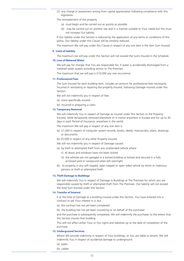(2) any charge or assessment arising from capital appreciation following compliance with this legislation.

The reinstatement of the property

- (a) must begin and be carried out as quickly as possible
- (b) may be carried out on another site and in a manner suitable to Your needs but this must not increase Our liability.

If Our liability under this Section is reduced by the application of any terms or conditions of this policy, Our liability under this Clause will be similarly reduced.

The maximum We will pay under this Clause in respect of any one item is the item Sum Insured.

#### **9. Limit of liability**

The maximum we will pay under this Section will not exceed the Sums Insured in the Schedule.

#### **10. Loss of Metered Water**

We will pay for charges that You are responsible for, if water is accidentally discharged from a metered water system providing service to The Premises.

The maximum that we will pay is £10,000 any one occurrence.

#### **11. Professional Fees**

The Sum Insured for each building item, includes an amount for professional fees necessarily incurred in reinstating or repairing the property Insured, following Damage insured under this Section.

We will not indemnify you in respect of fees

- (a) more specifically insured
- (b) incurred in preparing a claim.

#### **12. Temporary Removal**

We will indemnify You in respect of Damage as insured under this Section to the Property Insured, while temporarily removed elsewhere or in transit anywhere in Europe and for up to 30 days in each Period of Insurance, anywhere in the world.

The maximum We will pay in respect of any one item is

- (a) £1,000 in respect of computer system records, books, deeds, manuscripts, plans, drawings or documents
- (b) £5,000 in respect of any other Property Insured.

We will not indemnify you in respect of Damage caused

- (a) by theft or attempted theft from any unattended vehicle where
	- (i) all doors and windows have not been locked
	- (ii) the vehicles are not garaged in a locked building or locked and secured in a fully enclosed yard or compound when left overnight
- (b) to property in any soft topped, open topped or open sided vehicle by storm or malicious persons or theft or attempted theft.

#### **13. Theft Damage to Buildings**

We will indemnify You in respect of Damage to Buildings at The Premises for which you are responsible caused by theft or attempted theft from The Premises. Our liability will not exceed the total Sum Insured under this Section.

#### **14. Transfer of Interest**

If at the time of Damage to a building insured under this Section, You have entered into a contract to sell Your interest in it, but

- (a) the contract has not yet been completed
- (b) the building has not yet been insured by or on behalf of the purchaser

and the purchase is subsequently completed, We will indemnify the purchaser to the extent that this Section insures that building.

This will not affect either Your or Our rights and liabilities up to the date of completion of the purchase.

#### **15. Underground Services**

Where We provide indemnity in respect of Your buildings, or You are liable as tenant, We will indemnify You in respect of accidental damage to underground

- (a) pipes
- (b) cables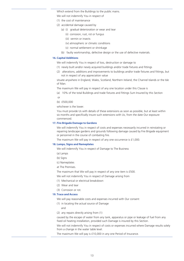Which extend from the Buildings to the public mains.

- We will not indemnify You in respect of
- (1) the cost of maintenance
- (2) accidental damage caused by
	- (a) (i) gradual deterioration or wear and tear
		- (ii) corrosion, rust, rot or fungus
		- (iii) vermin or insects
		- (iv) atmospheric or climatic conditions
		- (v) normal settlement or shrinkage
	- (b) faulty workmanship, defective design or the use of defective materials.

#### **16. Capital Additions**

We will indemnify You in respect of loss, destruction or damage to

- (1) newly built and/or newly acquired buildings and/or trade fixtures and fittings
- (2) alterations, additions and improvements to buildings and/or trade fixtures and fittings, but not in respect of any appreciation value

situate anywhere in England, Wales, Scotland, Northern Ireland, the Channel Islands or the Isle of Man.

The maximum We will pay in respect of any one location under this Clause is

(a) 10% of the total Buildings and trade fixtures and fittings Sum Insured by this Section or

(b) £500,000

whichever is the lower.

You must provide Us with details of these extensions as soon as possible, but at least within six months and specifically insure such extensions with Us, from the date Our exposure commenced.

#### **17. Fire Brigade Damage to Gardens**

We will indemnify You in respect of costs and expenses necessarily incurred in reinstating or repairing landscape gardens and grounds following damage caused by Fire Brigade equipment or personnel in the course of combating fire.

The maximum We will pay in respect of any one occurrence is £1,000.

#### **18. Lamps, Signs and Nameplates**

We will indemnify You in respect of Damage to The Business

- (a) Lamps
- (b) Signs
- (c) Nameplates
- at The Premises.

The maximum that We will pay in respect of any one item is £500.

We will not indemnify You in respect of Damage arising from

- (1) Mechanical or electrical breakdown
- (2) Wear and tear
- (3) Corrosion or rot.

#### **19. Trace and Access**

We will pay reasonable costs and expenses incurred with Our consent

- (1) in locating the actual source of Damage
	- and
- (2) any repairs directly arising from (1)

caused by the escape of water from any tank, apparatus or pipe or leakage of fuel from any fixed oil heating installation, provided such Damage is insured by this Section.

We will not indemnify You in respect of costs or expenses incurred where Damage results solely from a change in the water table level.

The maximum We will pay is £10,000 in any one Period of Insurance.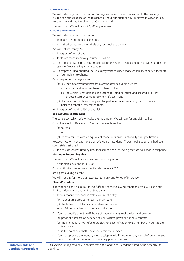#### **20. Homeworkers**

We will indemnify You in respect of Damage as insured under this Section to the Property Insured at Your residence or the residence of Your principals or any Employee in Great Britain, Northern Ireland, the Isle of Man or Channel Islands.

The maximum We will pay is £2,500 any one loss.

#### **21. Mobile Telephone**

We will indemnify You in respect of

- (1) Damage to Your mobile telephone.
- (2) unauthorised use following theft of your mobile telephone.
- We will not indemnify You
- (1) in respect of loss of data.
- (2) for losses more specifically insured elsewhere.
- (3) in respect of Damage to your mobile telephone where a replacement is provided under the terms of Your existing airtime contract.
- (4) in respect of unauthorised use unless payment has been made or liability admitted for theft of Your mobile telephone.
- (5) in respect of Damage caused
	- (a) by theft or attempted theft from any unattended vehicle where
		- (i) all doors and windows have not been locked.
		- (ii) the vehicle is not garaged in a locked building or locked and secured in a fully enclosed yard or compound when left overnight.
	- (b) to Your mobile phone in any soft topped, open sided vehicle by storm or malicious persons or theft or attempted theft.
- (6) in respect of the first £50 of any claim.

#### **Basis of Claims Settlement**

The basis upon which We will calculate the amount We will pay for any claim will be

(1) in the event of Damage to Your mobile telephone the cost

- (a) to repair
	- or
- (b) of replacement with an equivalent model of similar functionality and specification

However, We will not pay more than We would have done if Your mobile telephone had been completely destroyed.

(2) the cost of services used by unauthorised person(s) following theft of Your mobile telephone.

#### **Maximum Amount Payable**

The maximum We will pay for any one loss in respect of

- (1) Your mobile telephone is £250
- (2) unauthorised use of Your mobile telephone is £250

arising from a single event.

We will not pay for more than two events in any one Period of Insurance.

#### **Claims Procedure**

If in relation to any claim You fail to fulfil any of the following conditions, You will lose Your right to indemnity or payment for that claim.

- (1) If Your mobile telephone is stolen You must notify
	- (a) Your airtime provider to bar Your SIM card
	- (b) the Police and obtain a crime reference number

within 24 hours of becoming aware of the theft.

- (2) You must notify us within 48 hours of becoming aware of the loss and provide
	- (a) proof of purchase or evidence of Your airtime provider business contract
	- (b) the International Manufacturers Electronic Identification (IMEI) number of Your Mobile telephone
	- (c) in the event of a theft, the crime reference number.
- (3) You must provide the monthly mobile telephone bill(s) covering any period of unauthorised use and the bill for the month immediately prior to the loss.

**Endorsements and Conditions Precedent** This Section is subject to any Endorsements and Conditions Precedent stated in the Schedule as applying.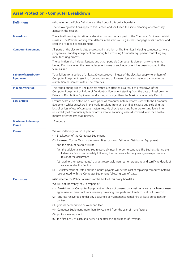# **Asset Protection - Computer Breakdown**

| <b>Definitions</b>                                 | (Also refer to the Policy Definitions at the front of this policy booklet.)<br>The following definitions apply to this Section and shall keep the same meaning wherever they<br>appear in the Section.                                                                                                                                                                                                                                            |
|----------------------------------------------------|---------------------------------------------------------------------------------------------------------------------------------------------------------------------------------------------------------------------------------------------------------------------------------------------------------------------------------------------------------------------------------------------------------------------------------------------------|
| <b>Breakdown</b>                                   | The actual breaking distortion or electrical burn-out of any part of the Computer Equipment whilst<br>in use at The Premises arising from defects in the item causing sudden stoppage of its function and<br>requiring its repair or replacement.                                                                                                                                                                                                 |
| <b>Computer Equipment</b>                          | All parts of the electronic data processing installation at The Premises including computer software<br>programs all ancillary equipment and wiring but excluding Computer Equipment controlling any<br>manufacturing process.                                                                                                                                                                                                                    |
|                                                    | The definition also includes laptops and other portable Computer Equipment anywhere in the<br>United Kingdom when the new replacement value of such equipment has been included in the<br>Sum Insured.                                                                                                                                                                                                                                            |
| <b>Failure of Distribution</b><br><b>Equipment</b> | Total failure for a period of at least 30 consecutive minutes of the electrical supply to an item of<br>Computer Equipment resulting from sudden and unforeseen loss of or material damage to the<br>distribution equipment within The Premises.                                                                                                                                                                                                  |
| <b>Indemnity Period</b>                            | The Period during which The Business results are affected as a result of Breakdown of the<br>Computer Equipment or Failure of Distribution Equipment starting from the date of Breakdown or<br>Failure of Distribution Equipment and lasting no longer than the Maximum Indemnity Period.                                                                                                                                                         |
| <b>Loss of Data</b>                                | Erasure destruction distortion or corruption of computer system records used with the Computer<br>Equipment whilst anywhere in the world resulting from an identifiable cause but excluding the<br>loss of or loss of use of computer system records directly resulting from pre-existing faults in or<br>unsuitability of computer system records and also excluding losses discovered later than twelve<br>months after the loss was initiated. |
| <b>Maximum Indemnity</b><br><b>Period</b>          | 12 months.                                                                                                                                                                                                                                                                                                                                                                                                                                        |
| <b>Cover</b>                                       | We will indemnify You in respect of                                                                                                                                                                                                                                                                                                                                                                                                               |
|                                                    | (1) Breakdown of the Computer Equipment.                                                                                                                                                                                                                                                                                                                                                                                                          |
|                                                    | (2) Increased Cost of Working following Breakdown or Failure of Distribution Equipment                                                                                                                                                                                                                                                                                                                                                            |
|                                                    | and the amount payable will be                                                                                                                                                                                                                                                                                                                                                                                                                    |
|                                                    | (a) the additional expenses You reasonably incur in order to continue The Business during the<br>Indemnity Period immediately following the occurrence less any savings in expenses as a<br>result of the occurrence                                                                                                                                                                                                                              |
|                                                    | (b) auditors' or accountants' charges reasonably incurred for producing and certifying details of<br>a claim under this Section.                                                                                                                                                                                                                                                                                                                  |
|                                                    | (3) Reinstatement of Data and the amount payable will be the cost of replacing computer systems<br>records used with the Computer Equipment following Loss of Data.                                                                                                                                                                                                                                                                               |
| <b>Exclusions</b>                                  | (Also refer to the Policy Exclusions at the back of this policy booklet.)                                                                                                                                                                                                                                                                                                                                                                         |
|                                                    | We will not indemnify You in respect of                                                                                                                                                                                                                                                                                                                                                                                                           |
|                                                    | (1) Breakdown of Computer Equipment which is not covered by a maintenance rental hire or lease<br>agreement or manufacturers warranty providing free parts and free labour at inclusive cost                                                                                                                                                                                                                                                      |
|                                                    | (2) any loss recoverable under any guarantee or maintenance rental hire or lease agreement or<br>contract                                                                                                                                                                                                                                                                                                                                         |
|                                                    | (3) gradual deterioration or wear and tear                                                                                                                                                                                                                                                                                                                                                                                                        |
|                                                    | (4) Computer Equipment more than 10 years old from the year of manufacture                                                                                                                                                                                                                                                                                                                                                                        |
|                                                    | (5) prototype equipment                                                                                                                                                                                                                                                                                                                                                                                                                           |
|                                                    |                                                                                                                                                                                                                                                                                                                                                                                                                                                   |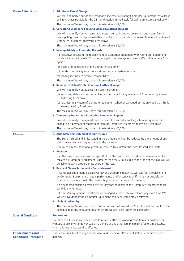#### **Cover Extensions 1. Additional Rental Charge**

We will indemnify You for any reasonable increase in existing Computer Equipment rental lease or hire charges payable for the 24 month period immediately following an insured Breakdown.

The maximum We will pay under this extension is £2,500.

#### **2. Consulting Engineers' Fees and Claims Investigation Costs**

We will indemnify You for reasonable costs incurred including consulting engineers' fees in investigating possible repairs (whether or not successful) and/or the reinstatement of an item of Computer Equipment following Breakdown.

The maximum We will pay under this extension is £5,000.

#### **3. Incompatibility of Computer Records**

If Breakdown results in the replacement of Computer Equipment with Computer Equipment which is incompatible with Your undamaged computer system records We will indemnify You against

- (a) costs of modification of the Computer Equipment
- (b) costs of replacing and/or reinstating computer system records

reasonably incurred to achieve compatibility.

The maximum We will pay under this extension is £5,000.

#### **4. Removal of Debris/Protection from Further Damage**

We will indemnify You against the costs incurred in

- (a) removing debris and/or dismantling and/or demolishing any item of Computer Equipment following Breakdown
- (b) protecting any item of Computer Equipment whether damaged or not provided that this is necessitated by Breakdown.

The maximum We will pay under this extension is £5,000.

#### **5. Temporary Repairs and Expediting Permanent Repairs**

We will indemnify You against reasonable costs incurred in making a temporary repair or in expediting a permanent repair to an item of Computer Equipment following Breakdown.

The maximum We will pay under this extension is £5,000

#### **Clauses 1. Automatic Reinstatement of Sum Insured**

The Sums Insured and limits stated in the Schedule will not be reduced by the amount of any claim unless We or You give notice to the contrary.

You must pay the additional premium required to reinstate the Sums Insured and limits.

**2. Average**

If at the time of replacement or repair 85% of the cost which would have been required to replace all Computer Equipment is greater than the Sum Insured at the time of the loss You will be liable to pay a proportionate share of the loss.

#### **3. Basics of Claims Settlement – Reinstatement**

If Computer Equipment is destroyed beyond economic repair we will pay for its replacement by Computer Equipment of equal performance and/or capacity or if this is not possible by Computer Equipment with the nearest higher performance and/or capacity.

If an economic repair is possible we will pay for the repair of the Computer Equipment to its condition when new.

If Computer Equipment is destroyed or damaged in part only We will not pay more than We would have done if the Computer Equipment had been completely destroyed.

#### **4. Limit of Indemnity**

The maximum We will pay under this Section will not exceed the Sums Insured and limits in the Schedule plus any extra amounts for which We are liable under the Extensions.

| <b>Special Condition</b>                               | <b>Precautions</b>                                                                                                                                                                                                                              |  |
|--------------------------------------------------------|-------------------------------------------------------------------------------------------------------------------------------------------------------------------------------------------------------------------------------------------------|--|
|                                                        | You shall at all times take precautions to retain in efficient working condition and available for<br>immediate use any standby or spare machinery or any other loss minimising factors in existence<br>when this insurance was first effected. |  |
| <b>Endorsements and</b><br><b>Conditions Precedent</b> | This Section is subject to any Endorsement and Conditions Precedent stated in the Schedule as<br>applying.                                                                                                                                      |  |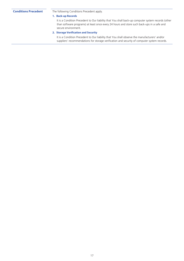**Conditions Precedent** The following Conditions Precedent apply.

#### **1. Back-up Records**

It is a Condition Precedent to Our liability that You shall back-up computer system records (other than software programs) at least once every 24 hours and store such back-ups in a safe and secure environment.

### **2. Storage Verification and Security**

It is a Condition Precedent to Our liability that You shall observe the manufacturers' and/or suppliers' recommendations for storage verification and security of computer system records.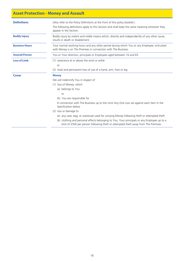# **Asset Protection - Money and Assault**

| <b>Definitions</b>    | (Also refer to the Policy Definitions at the front of this policy booklet.)                                                                                                        |  |
|-----------------------|------------------------------------------------------------------------------------------------------------------------------------------------------------------------------------|--|
|                       | The following definitions apply to this Section and shall keep the same meaning wherever they<br>appear in the Section.                                                            |  |
| <b>Bodily Injury</b>  | Bodily injury by violent and visible means which, directly and independently of any other cause,<br>results in death or disablement.                                               |  |
| <b>Business Hours</b> | Your normal working hours and any other period during which You or any Employee, entrusted<br>with Money is on The Premises in connection with The Business.                       |  |
| <b>Insured Person</b> | You or Your directors, principals or Employees aged between 16 and 65.                                                                                                             |  |
| <b>Loss of Limb</b>   | (1) severance at or above the wrist or ankle                                                                                                                                       |  |
|                       | or                                                                                                                                                                                 |  |
|                       | (2) total and permanent loss of use of a hand, arm, foot or leg.                                                                                                                   |  |
| Cover                 | <b>Money</b>                                                                                                                                                                       |  |
|                       | We will indemnify You in respect of                                                                                                                                                |  |
|                       | (1) loss of Money, which                                                                                                                                                           |  |
|                       | (a) belongs to You                                                                                                                                                                 |  |
|                       | <b>or</b>                                                                                                                                                                          |  |
|                       | (b) You are responsible for                                                                                                                                                        |  |
|                       | In connection with The Business up to the Limit Any One Loss set against each item in the<br>Specification below                                                                   |  |
|                       | (2) loss or damage to                                                                                                                                                              |  |
|                       | (a) any case, bag, or waistcoat used for carrying Money following theft or attempted theft                                                                                         |  |
|                       | (b) clothing and personal effects belonging to You, Your principals or any Employee up to a<br>limit of £500 per person following theft or attempted theft away from The Premises. |  |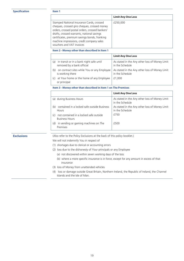#### **Specification Item 1**

|                                                                                                                                                                                                                                                                                                                       | <b>Limit Any One Loss</b> |
|-----------------------------------------------------------------------------------------------------------------------------------------------------------------------------------------------------------------------------------------------------------------------------------------------------------------------|---------------------------|
| Stamped National Insurance Cards, crossed<br>cheques, crossed giro cheques, crossed money<br>orders, crossed postal orders, crossed bankers'<br>drafts, crossed warrants, national savings<br>certificates, premium savings bonds, franking<br>machine impressions, credit company sales<br>vouchers and VAT invoices | £250,000                  |

#### **Item 2 - Money other than described in Item 1**

|     |                                                                        | <b>Limit Any One Loss</b>                                         |
|-----|------------------------------------------------------------------------|-------------------------------------------------------------------|
| a)  | in transit or in a bank night safe until<br>removed by a bank official | As stated in the Any other loss of Money Limit<br>in the Schedule |
| (b  | on contract sites while You or any Employee<br>is working there        | As stated in the Any other loss of Money Limit<br>in the Schedule |
| (C) | at Your home or the home of any Employee<br>or principal               | £1.000                                                            |

**Item 3 - Money other than described in Item 1 on The Premises**

|                                                                        | <b>Limit Any One Loss</b>                                         |
|------------------------------------------------------------------------|-------------------------------------------------------------------|
| (a) during Business Hours                                              | As stated in the Any other loss of Money Limit<br>in the Schedule |
| contained in a locked safe outside Business<br>(b)<br><b>Hours</b>     | As stated in the Any other loss of Money Limit<br>in the Schedule |
| not contained in a locked safe outside<br>(C)<br><b>Business Hours</b> | f750                                                              |
| in vending or gaming machines on The<br>(d)<br>Premises                | £500                                                              |

**Exclusions** (Also refer to the Policy Exclusions at the back of this policy booklet.)

We will not indemnify You in respect of

- (1) shortages due to clerical or accounting errors
- (2) loss due to the dishonesty of Your principals or any Employee
	- (a) not discovered within seven working days of the loss
	- (b) where a more specific insurance is in force, except for any amount in excess of that insurance
- (3) loss of Money from unattended vehicles
- (4) loss or damage outside Great Britain, Northern Ireland, the Republic of Ireland, the Channel Islands and the Isle of Man.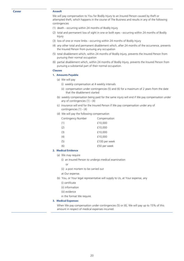### **Cover Assault**

We will pay compensation to You for Bodily Injury to an Insured Person caused by theft or attempted theft, which happens in the course of The Business and results in any of the following contingencies

- (1) death occurring within 24 months of Bodily Injury
- (2) total and permanent loss of sight in one or both eyes occurring within 24 months of Bodily Injury
- (3) loss of one or more limbs occurring within 24 months of Bodily Injury
- (4) any other total and permanent disablement which, after 24 months of the occurrence, prevents the Insured Person from pursuing any occupation
- (5) total disablement which, within 24 months of Bodily Injury, prevents the Insured Person from pursuing their normal occupation
- (6) partial disablement which, within 24 months of Bodily Injury, prevents the Insured Person from pursuing a substantial part of their normal occupation.

#### **Clauses**

#### **1. Amounts Payable**

- (a) We will pay
	- (i) weekly compensation at 4 weekly intervals
	- (ii) compensation under contingencies (5) and (6) for a maximum of 2 years from the date that the disablement started
- (b) weekly compensation being paid for the same injury will end if We pay compensation under any of contingencies (1) - (4)
- (c) insurance will end for the Insured Person if We pay compensation under any of contingencies (1) - (4)
- (d) We will pay the following compensation

| Contingency Number | Compensation  |
|--------------------|---------------|
| (1)                | £10,000       |
| (2)                | £10,000       |
| (3)                | £10,000       |
| (4)                | £10,000       |
| (5)                | £100 per week |
| (6)                | £50 per week  |
|                    |               |

#### **2. Medical Evidence**

- (a) We may require
	- (i) an Insured Person to undergo medical examination
		- or
	- (ii) a post mortem to be carried out
- at Our expense.
- (b) You, or Your legal representative will supply to Us, at Your expense, any
	- (i) certificate
	- (ii) information
	- (iii) evidence
	- in the format We require.

#### **3. Medical Expenses**

When We pay compensation under contingencies (5) or (6), We will pay up to 15% of this amount in respect of medical expenses incurred.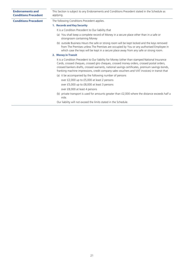| <b>Endorsements and</b><br><b>Conditions Precedent</b> | This Section is subject to any Endorsements and Conditions Precedent stated in the Schedule as<br>applying.                                                                                                                                                                                                                                                                                     |  |  |
|--------------------------------------------------------|-------------------------------------------------------------------------------------------------------------------------------------------------------------------------------------------------------------------------------------------------------------------------------------------------------------------------------------------------------------------------------------------------|--|--|
| <b>Conditions Precedent</b>                            | The following Conditions Precedent applies.                                                                                                                                                                                                                                                                                                                                                     |  |  |
|                                                        | 1. Records and Key Security                                                                                                                                                                                                                                                                                                                                                                     |  |  |
|                                                        | It is a Condition Precedent to Our liability that                                                                                                                                                                                                                                                                                                                                               |  |  |
|                                                        | (a) You shall keep a complete record of Money in a secure place other than in a safe or<br>strongroom containing Money                                                                                                                                                                                                                                                                          |  |  |
|                                                        | (b) outside Business Hours the safe or strong room will be kept locked and the keys removed<br>from The Premises unless The Premises are occupied by You or any authorised Employee in<br>which case the keys will be kept in a secure place away from any safe or strong room.                                                                                                                 |  |  |
|                                                        | 2. Money in Transit                                                                                                                                                                                                                                                                                                                                                                             |  |  |
|                                                        | It is a Condition Precedent to Our liability for Money (other than stamped National Insurance<br>Cards, crossed cheques, crossed giro cheques, crossed money orders, crossed postal orders,<br>crossed bankers drafts, crossed warrants, national savings certificates, premium savings bonds,<br>franking machine impressions, credit company sales vouchers and VAT invoices) in transit that |  |  |
|                                                        | (a) it be accompanied by the following number of persons                                                                                                                                                                                                                                                                                                                                        |  |  |
|                                                        | over £2,000 up to £5,000 at least 2 persons                                                                                                                                                                                                                                                                                                                                                     |  |  |
|                                                        | over £5,000 up to £8,000 at least 3 persons                                                                                                                                                                                                                                                                                                                                                     |  |  |
|                                                        | over £8,000 at least 4 persons                                                                                                                                                                                                                                                                                                                                                                  |  |  |
|                                                        | (b) private transport is used for amounts greater than £2,000 where the distance exceeds half a<br>mile.                                                                                                                                                                                                                                                                                        |  |  |
|                                                        | Our liability will not exceed the limits stated in the Schedule.                                                                                                                                                                                                                                                                                                                                |  |  |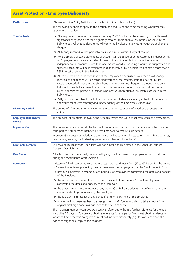# **Asset Protection - Employee Dishonesty**

| <b>Definitions</b>                                                                                                                           | (Also refer to the Policy Definitions at the front of this policy booklet.)                                                                                                                                                                                                                                                                                                                                                                                                                        |  |  |
|----------------------------------------------------------------------------------------------------------------------------------------------|----------------------------------------------------------------------------------------------------------------------------------------------------------------------------------------------------------------------------------------------------------------------------------------------------------------------------------------------------------------------------------------------------------------------------------------------------------------------------------------------------|--|--|
|                                                                                                                                              | The following definitions apply to this Section and shall keep the same meaning wherever they<br>appear in the Section.                                                                                                                                                                                                                                                                                                                                                                            |  |  |
| <b>The Controls</b>                                                                                                                          | (1) All cheques You issue with a value exceeding £5,000 will either be signed by two authorised<br>signatories or by one authorised signatory who has more than a 5% interest or share in the<br>Policyholder. All cheque signatories will verify the invoices and any other vouchers against the<br>cheque.                                                                                                                                                                                       |  |  |
|                                                                                                                                              | (2) All Money received will be paid into Your bank in full within 3 days of receipt.                                                                                                                                                                                                                                                                                                                                                                                                               |  |  |
|                                                                                                                                              | (3) Where credit is allowed statements of account will be issued direct to customers independently<br>of Employees who receive or collect Money. If it is not possible to achieve the required<br>independence all amounts more than one month overdue including amounts in suppressed and<br>suspense accounts will be investigated independently or by a person who controls more than a<br>5% interest or share in the Policyholder.                                                            |  |  |
|                                                                                                                                              | (4) At least monthly and independently of the Employees responsible, Your records of Money<br>received and expended will be reconciled with bank statements, stamped paying-in slips,<br>receipt counterfoils, vouchers, cash in hand and unpresented cheques to produce a balance.<br>If it is not possible to achieve the required independence the reconciliation will be checked<br>by an independent person or a person who controls more than a 5% interest or share in the<br>Policyholder. |  |  |
|                                                                                                                                              | (5) Petty cash will be subject to a full reconciliation and balance including a check of the receipts<br>and vouchers at least monthly and independently of the Employees responsible.                                                                                                                                                                                                                                                                                                             |  |  |
| <b>Discovery Period</b>                                                                                                                      | The period of 12 months commencing on the date the act or acts of fraud or dishonesty are<br>committed.                                                                                                                                                                                                                                                                                                                                                                                            |  |  |
| <b>Employee Dishonesty</b><br>The amount (or amounts) shown in the Schedule which We will deduct from each and every claim.<br><b>Excess</b> |                                                                                                                                                                                                                                                                                                                                                                                                                                                                                                    |  |  |
| <b>Improper Gain</b>                                                                                                                         | The improper financial benefit to the Employee or any other person or organisation which does not<br>form part of You but was intended by that Employee to receive such benefit.                                                                                                                                                                                                                                                                                                                   |  |  |
|                                                                                                                                              | Improper Gain does not include the payment of or increase in salaries, commissions, fees, bonuses,<br>promotions, awards, profit sharing, pensions or other employee benefits.                                                                                                                                                                                                                                                                                                                     |  |  |
| <b>Limit of Indemnity</b>                                                                                                                    | Our maximum liability for One Claim will not exceed the limit stated in the Schedule (but see<br>Clause 1 Our Liability).                                                                                                                                                                                                                                                                                                                                                                          |  |  |
| <b>One Claim</b>                                                                                                                             | All acts of fraud or dishonesty committed by any one Employee or Employees acting in collusion<br>during the continuance of this Section.                                                                                                                                                                                                                                                                                                                                                          |  |  |
| <b>References</b>                                                                                                                            | Written or fully documented verbal references obtained directly from (1) to (5) below for the period<br>of 2 years immediately preceding the commencement of employment of the Employee with You                                                                                                                                                                                                                                                                                                   |  |  |
|                                                                                                                                              | (1) previous employers in respect of any period(s) of employment confirming the dates and honesty<br>of the Employee                                                                                                                                                                                                                                                                                                                                                                               |  |  |
|                                                                                                                                              | (2) the accountant and one other customer in respect of any period(s) of self employment<br>confirming the dates and honesty of the Employee                                                                                                                                                                                                                                                                                                                                                       |  |  |
|                                                                                                                                              | (3) the school, college etc in respect of any period(s) of full-time education confirming the dates<br>and not indicating dishonesty by the Employee                                                                                                                                                                                                                                                                                                                                               |  |  |
|                                                                                                                                              | (4) the Job Centre in respect of any period(s) of unemployment of the Employee                                                                                                                                                                                                                                                                                                                                                                                                                     |  |  |
|                                                                                                                                              | (5) where the Employee has been discharged from H.M. Forces You should take a copy of the<br>original discharge papers as evidence of the dates of service.                                                                                                                                                                                                                                                                                                                                        |  |  |
|                                                                                                                                              | The maximum gap between two consecutive references without a further reference for the gap<br>should be 28 days. If You cannot obtain a reference for any period You must obtain evidence of<br>what the Employee was doing which must not indicate dishonesty (e.g. for overseas travel the<br>evidence might be a copy of the passport).                                                                                                                                                         |  |  |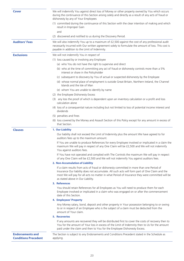| Cover                                                  | We will indemnify You against direct loss of Money or other property owned by You which occurs<br>during the continuance of this Section arising solely and directly as a result of any acts of fraud or<br>dishonesty by any of Your Employees                                                                                    |  |  |
|--------------------------------------------------------|------------------------------------------------------------------------------------------------------------------------------------------------------------------------------------------------------------------------------------------------------------------------------------------------------------------------------------|--|--|
|                                                        | (1) committed during the continuance of this Section with the clear intention of making and which<br>result in Improper Gain<br>and                                                                                                                                                                                                |  |  |
|                                                        | (2) discovered and notified to us during the Discovery Period.                                                                                                                                                                                                                                                                     |  |  |
| <b>Auditors' Fees</b>                                  | We will also indemnify You up to a maximum of £2,500 against the cost of any professional audit<br>necessarily incurred with Our written agreement solely to formulate the amount of loss. This cost is<br>payable in addition to the Limit of Indemnity.                                                                          |  |  |
| <b>Exclusions</b>                                      | We will not indemnify You in respect of                                                                                                                                                                                                                                                                                            |  |  |
|                                                        | (1) loss caused by or involving any Employee                                                                                                                                                                                                                                                                                       |  |  |
|                                                        | (a) who You do not have the right to supervise and direct                                                                                                                                                                                                                                                                          |  |  |
|                                                        | (b) who at the time of committing any act of fraud or dishonesty controls more than a 5%<br>interest or share in the Policyholder                                                                                                                                                                                                  |  |  |
|                                                        | (c) subsequent to discovery by You of actual or suspected dishonesty by the Employee                                                                                                                                                                                                                                               |  |  |
|                                                        | (d) whose normal place of employment is outside Great Britain, Northern Ireland, the Channel<br>Islands and the Isle of Man                                                                                                                                                                                                        |  |  |
|                                                        | (e) whom You are unable to identify by name                                                                                                                                                                                                                                                                                        |  |  |
|                                                        | (2) the Employee Dishonesty Excess                                                                                                                                                                                                                                                                                                 |  |  |
|                                                        | (3) any loss the proof of which is dependent upon an inventory calculation or a profit and loss<br>calculation alone                                                                                                                                                                                                               |  |  |
|                                                        | (4) loss of a consequential nature including but not limited to loss of potential income interest and<br>dividends                                                                                                                                                                                                                 |  |  |
|                                                        | (5) penalties and fines                                                                                                                                                                                                                                                                                                            |  |  |
|                                                        | (6) loss covered by the Money and Assault Section of this Policy except for any amount in excess of<br>that Section.                                                                                                                                                                                                               |  |  |
| <b>Clauses</b>                                         | 1. Our Liability                                                                                                                                                                                                                                                                                                                   |  |  |
|                                                        | Our liability shall not exceed the Limit of Indemnity plus the amount We have agreed to for<br>auditors fees up to the maximum amount.                                                                                                                                                                                             |  |  |
|                                                        | If You are unable to produce References for every Employee involved or implicated in a claim the<br>maximum We will pay in respect of any One Claim will be £2,500 and We will not indemnify<br>You against auditors fees.                                                                                                         |  |  |
|                                                        | If You have not operated and complied with The Controls the maximum We will pay in respect<br>of any One Claim will be £2,500 and We will not indemnify You against auditors fees.                                                                                                                                                 |  |  |
|                                                        | 2. Non-Accumulation of Liability                                                                                                                                                                                                                                                                                                   |  |  |
|                                                        | If a claim results from acts of fraud or dishonesty committed in more than one Period of<br>Insurance Our liability does not accumulate. All such acts will form part of One Claim and the<br>most We will pay for all acts no matter in what Period of Insurance they were committed will be<br>as stated above in Our Liability. |  |  |
|                                                        | 3. References                                                                                                                                                                                                                                                                                                                      |  |  |
|                                                        | You should retain References for all Employees as You will need to produce them for each<br>Employee involved or implicated in a claim who was engaged on or after the commencement<br>date of this Section.                                                                                                                       |  |  |
|                                                        | 4. Employees' Property                                                                                                                                                                                                                                                                                                             |  |  |
|                                                        | Any Money salary, bond, deposit and other property in Your possession belonging to or owing<br>to or in respect of an Employee who is the subject of a claim must be deducted from the<br>amount of Your claim.                                                                                                                    |  |  |
|                                                        | <b>5. Recoveries</b>                                                                                                                                                                                                                                                                                                               |  |  |
|                                                        | If any amounts are recovered they will be distributed first to cover the costs of recovery then to<br>You for the amount of Your loss in excess of the Limit of Indemnity then to Us for the amount<br>paid under the claim and then to You for the Employee Dishonesty Excess.                                                    |  |  |
| <b>Endorsements and</b><br><b>Conditions Precedent</b> | The Section is subject to any Endorsements and Conditions Precedent stated in the Schedule as<br>applying.                                                                                                                                                                                                                         |  |  |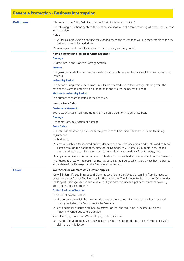### **Revenue Protection - Business Interruption**

**Definitions** (Also refer to the Policy Definitions at the front of this policy booklet.)

The following definitions apply to this Section and shall keep the same meaning wherever they appear in the Section.

#### **Notes**

- (1) All terms in this Section exclude value added tax to the extent that You are accountable to the tax authorities for value added tax.
- (2) Any adjustment made for current cost accounting will be ignored.

#### **Item on Income and Increased Office Expenses**

#### **Damage**

As described in the Property Damage Section.

#### **Income**

The gross fees and other income received or receivable by You in the course of The Business at The Premises.

#### **Indemnity Period**

The period during which The Business results are affected due to the Damage, starting from the date of the Damage and lasting no longer than the Maximum Indemnity Period.

#### **Maximum Indemnity Period**

The number of months stated in the Schedule.

#### **Item on Book Debts**

#### **Customers' Accounts**

Your accounts customers who trade with You on a credit or hire purchase basis.

#### **Damage**

Accidental loss, destruction or damage.

#### **Book Debts**

The total last recorded by You under the provisions of Condition Precedent 2. Debit Recording adjusted for

- (1) bad debts
- (2) amounts debited (or invoiced but not debited) and credited (including credit notes and cash not passed through the books at the time of the Damage) to Customers' Accounts in the period between the date to which the last statement relates and the date of the Damage, and
- (3) any abnormal condition of trade which had or could have had a material effect on The Business.

The figures adjusted will represent as near as possible, the figures which would have been obtained at the date of the Damage had the Damage not occurred.

#### **Cover Your Schedule will state which Option applies.**

We will indemnify You in respect of Cover as specified in the Schedule resulting from Damage to property used by You at The Premises for the purpose of The Business to the extent of Cover under the Property Damage Section and where liability is admitted under a policy of insurance covering Your interest in such property.

#### **Option A – Loss of Income**

The amount payable will be

- (1) the amount by which the Income falls short of the Income which would have been received during the Indemnity Period due to the Damage
- (2) any additional expense You incur to prevent or limit the reduction in Income during the Indemnity Period due to the Damage.

We will not pay more than We would pay under (1) above.

(3) auditors' or accountants' charges reasonably incurred for producing and certifying details of a claim under this Section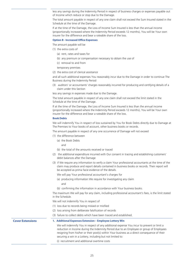less any savings during the Indemnity Period in respect of business charges or expenses payable out of Income which reduce or stop due to the Damage.

The total amount payable in respect of any one claim shall not exceed the Sum Insured stated in the Schedule at the time of the Damage.

If at the time of the Damage, the Loss of Income Sum Insured is less than the annual income (proportionally increased where the Indemnity Period exceeds 12 months), You will be Your own insurer for the difference and bear a rateable share of the loss.

#### **Option B - Increased Office Expenses**

The amount payable will be

- (1) the extra costs of
	- (a) rent, rates and taxes for
	- (b) any premium or compensation necessary to obtain the use of
	- (c) removal to and from
	- temporary premises
- (2) the extra cost of clerical assistance

and all such additional expenses You reasonably incur due to the Damage in order to continue The Business during the Indemnity Period

(3) auditors' or accountants' charges reasonably incurred for producing and certifying details of a claim under this Section

less any savings in expenses made due to the Damage.

The total amount payable in respect of any one claim shall not exceed the limit stated in the Schedule at the time of the Damage.

If at the time of the Damage, the Loss of Income Sum Insured is less than the annual income (proportionally increased where the Indemnity Period exceeds 12 months), You will be Your own insurer for the difference and bear a rateable share of the loss.

#### **Book Debts**

We will indemnify You in respect of loss sustained by You for Book Debts directly due to Damage at The Premises to Your books of account, other business books or records.

The amount payable in respect of any one occurrence of Damage will not exceed

- (1) the difference between
	- (a) the Book Debts
		- and
	- (b) the total of the amounts received or traced
- (2) the additional expenditure incurred with Our consent in tracing and establishing customers' debit balances after the Damage
- (3) if We require any information to verify a claim Your professional accountants at the time of the claim may produce and report details contained in business books or records. Their report will be accepted as prima facie evidence of the details.

We will pay Your professional accountant's charges for

- (a) producing information We require for investigating any claim and
- (b) confirming the information in accordance with Your business books.

The maximum We will pay for any claim, including professional accountant's fees, is the limit stated in the Schedule.

We will not indemnify You in respect of

- (1) loss due to records being mislaid or misfiled
- (2) loss arising from deliberate falsification of records
- (3) failure to collect debts which have been traced and established.

#### **Cover Extensions 1. Additional Expenses Extension – Employee Lottery Win**

We will indemnify You in respect of any additional expense You incur to prevent or limit a reduction in Income during the Indemnity Period due to an Employee or group of Employees resigning from his/her or their post(s) within Your business as a direct consequence of their securing a win in a Lottery, including but not limited to:

(i) recruitment and additional overtime costs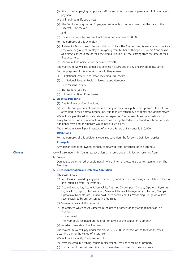(ii) the cost of employing temporary staff for amounts in excess of permanent full time rates of payment.

We will not indemnify you unless

(a) the Employee or group of Employees resign within fourteen days from the date of the successful Lottery win,

and

- (b) the amount won by any one Employee is not less than £100,000.
- For the purposes of this extension
- (a) Indemnity Period means the period during which The Business results are affected due to an Employee or group of Employees resigning from his/her or their post(s) within Your business as a direct consequence of their securing a win in a Lottery, starting from the date of their first departure.
- (b) Maximum Indemnity Period means one month.
- The maximum We will pay under this extension is £50,000 in any one Period of Insurance.

For the purposes of this extension only, Lottery means:

- (1) UK National Lottery Prize Draws including Scratchcards
- (2) UK National Football Pools (Littlewoods and Vernons)
- (3) Euro Millions Lottery
- (4) Irish National Lottery
- (5) UK Premium Bond Prize Draws.

#### **2. Essential Personnel**

- (1) Death of any of Your Principals,
- (2) or total and permanent disablement of any of Your Principals, which prevents them from attending to their normal occupation, due to injury caused by accidental and violent means.

We will only pay the additional costs and/or expenses You necessarily and reasonably incur solely to prevent or limit a reduction in Income during the Indemnity Period which but for such additional costs and/or expenses would have taken place.

The maximum We will pay in respect of any one Period of Insurance is £10,000.

#### **Definitions**

For the purposes of this additional expenses condition, the following Definition applies: **Principals**

Any person who is an owner, partner, company director or trustee of The Business.

**Clauses** We will also indemnify You in respect of loss as insured under this Section resulting from

#### **1. Boilers**

Damage to boilers or other equipment in which internal pressure is due to steam only on The Premises.

#### **2. Disease, Infestation and Defective Sanitation**

The occurrence of

- (a) an illness sustained by any person caused by food or drink poisoning attributable to food or drink supplied from The Premises
- (b) Acute Encephalitis, Acute Poliomyelitis, Anthrax, Chickenpox, Cholera, Diptheria, Dysentry, Legionellosis, Leprosy, Leptospirosis, Malaria, Measles, Meningococcal Infection, Mumps, Opthalmia, Neonatorum, Paratyphoid Fever, Viral Hepatitis, Whooping Cough or Yellow Fever sustained by any person at The Premises
- (c) Vermin or pests at The Premises
- (d) an accident which causes defects in the drains or other sanitary arrangements at The Premises

where use of

The Premises is restricted on the order or advice of the competent authority.

(e) murder or suicide at The Premises.

The maximum We will pay under this clause is £25,000 in respect of the total of all losses occurring during the Period of Insurance.

We will not indemnify You in respect of

26

- (a) costs incurred in cleaning, repair, replacement, recall or checking of property
- (b) loss arising from preimses other than those directly subject to the occurrence.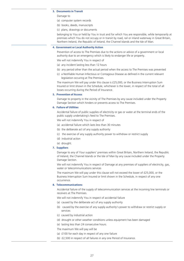#### **3. Documents in Transit**

Damage to

- (a) computer system records
- (b) books, deeds, manuscripts
- (c) plans, drawings or documents

belonging to You or held by You in trust and for which You are responsible, while temporarily at premises which You do not occupy or in transit by road, rail or inland waterway in Great Britain, Northern Ireland, the Republic of Ireland, the Channel Islands and the Isle of Man.

#### **4. Government or Local Authority Action**

Prevention of access to The Premises due to the actions or advice of a government or local authority due to an emergency which is likely to endanger life or property.

We will not indemnify You in respect of

- (a) any incident lasting less than 12 hours
- (b) any period other than the actual period when the access to The Premises was prevented
- (c) a Notifiable Human Infectious or Contagious Disease as defined in the current relevant legislation occuring at The Premises.

The maximum We will pay under this clause is £25,000, or the Business Interruption Sum Insured or limit shown in the Schedule, whichever is the lower, in respect of the total of all losses occurring during the Period of Insurance.

#### **5. Prevention of Access**

Damage to property in the vicinity of The Premises by any cause included under the Property Damage Section which hinders or prevents access to The Premises.

#### **6. Failure of Utilities**

Accidental failure of public supplies of electricity or gas or water at the terminal ends of the public supply undertaking's feed to The Premises.

We will not indemnify You in respect of

- (a) accidental failure which lasts less than 30 minutes
- (b) the deliberate act of any supply authority
- (c) the exercise of any supply authority power to withdraw or restrict supply
- (d) industrial action
- (e) drought.

#### **7. Suppliers**

Damage to any of Your suppliers' premises within Great Britain, Northern Ireland, the Republic of Ireland, the Channel Islands or the Isle of Man by any cause included under the Property Damage Section.

We will not indemnify You in respect of Damage at any premises of suppliers of electricity, gas, water or telecommunications services

The maximum We will pay under this clause will not exceed the lower of £25,000, or the Business Interruption Sum Insured or limit shown in the Schedule, in respect of any one occurrence.

#### **8. Telecommunications**

Accidental failure of the supply of telecommunication services at the incoming line terminals or receivers at The Premises.

We will not indemnify You in respect of accidental failure

- (a) caused by the deliberate act of any supply authority
- (b) caused by the exercise of any supply authority's power to withdraw or restrict supply or services
- (c) caused by industrial action
- (d) drought or other weather conditions unless equipment has been damaged
- (e) lasting less than 24 consecutive hours.
- The maximum We will pay will be
- (a) £100 for each day in respect of any one failure
- (b) £2,500 in respect of all failures in any one Period of Insurance.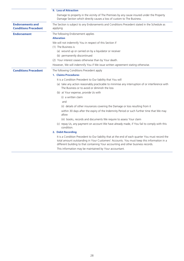|                                                        | <b>9. Loss of Attraction</b>                                                                                                                                                                                                                                                       |  |  |
|--------------------------------------------------------|------------------------------------------------------------------------------------------------------------------------------------------------------------------------------------------------------------------------------------------------------------------------------------|--|--|
|                                                        | Damage to property in the vicinity of The Premises by any cause insured under the Property<br>Damage Section which directly causes a loss of custom to The Business.                                                                                                               |  |  |
| <b>Endorsements and</b><br><b>Conditions Precedent</b> | The Section is subject to any Endorsements and Conditions Precedent stated in the Schedule as<br>applying.                                                                                                                                                                         |  |  |
| <b>Endorsement</b>                                     | The following Endorsement applies                                                                                                                                                                                                                                                  |  |  |
|                                                        | <b>Alteration</b>                                                                                                                                                                                                                                                                  |  |  |
|                                                        | We will not indemnify You in respect of this Section if                                                                                                                                                                                                                            |  |  |
|                                                        | (1) The Business is                                                                                                                                                                                                                                                                |  |  |
|                                                        | (a) wound up or carried on by a liquidator or receiver                                                                                                                                                                                                                             |  |  |
|                                                        | (b) permanently discontinued                                                                                                                                                                                                                                                       |  |  |
|                                                        | (2) Your interest ceases otherwise than by Your death.                                                                                                                                                                                                                             |  |  |
|                                                        | However, We will indemnify You if We issue written agreement stating otherwise.                                                                                                                                                                                                    |  |  |
| <b>Conditions Precedent</b>                            | The following Conditions Precedent apply                                                                                                                                                                                                                                           |  |  |
|                                                        | 1. Claims Procedures                                                                                                                                                                                                                                                               |  |  |
|                                                        | It is a Condition Precedent to Our liability that You will                                                                                                                                                                                                                         |  |  |
|                                                        | (a) take any action reasonably practicable to minimise any interruption of or interference with<br>The Business or to avoid or diminish the loss                                                                                                                                   |  |  |
|                                                        | (b) at Your expense, provide Us with                                                                                                                                                                                                                                               |  |  |
|                                                        | (i) a written claim                                                                                                                                                                                                                                                                |  |  |
|                                                        | and                                                                                                                                                                                                                                                                                |  |  |
|                                                        | (ii) details of other insurances covering the Damage or loss resulting from it                                                                                                                                                                                                     |  |  |
|                                                        | within 30 days after the expiry of the Indemnity Period or such further time that We may<br>allow                                                                                                                                                                                  |  |  |
|                                                        | (iii) books, records and documents We require to assess Your claim                                                                                                                                                                                                                 |  |  |
|                                                        | (c) repay Us, any payment on account We have already made, if You fail to comply with this<br>condition.                                                                                                                                                                           |  |  |
|                                                        | 2. Debit Recording                                                                                                                                                                                                                                                                 |  |  |
|                                                        | It is a Condition Precedent to Our liability that at the end of each quarter You must record the<br>total amount outstanding in Your Customers' Accounts. You must keep this information in a<br>different building to that containing Your accounting and other business records. |  |  |
|                                                        | This information may be maintained by Your accountant.                                                                                                                                                                                                                             |  |  |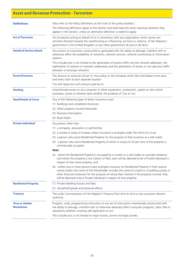# **Asset and Revenue Protection - Terrorism**

| <b>Definitions</b>                          | (Also refer to the Policy Definitions at the front of this policy booklet.)                                                                                                                                                                                                                                                                                                      |
|---------------------------------------------|----------------------------------------------------------------------------------------------------------------------------------------------------------------------------------------------------------------------------------------------------------------------------------------------------------------------------------------------------------------------------------|
|                                             | The following definitions apply to this Section and shall keep the same meaning wherever they<br>appear in the Section, unless an alternative definition is stated to apply.                                                                                                                                                                                                     |
| <b>Act of Terrorism</b>                     | Act of persons acting on behalf of or in connection with any organisation which carries out<br>activities directed towards the overthrowing or influencing, by force or violence, of Her Majesty's<br>government in the United Kingdom or any other government de jure or de facto.                                                                                              |
| <b>Denial of Service Attack</b>             | Any actions or instruction constructed or generated with the ability to damage, interfere with or<br>otherwise affect the availability of networks, network services, network connectivity or information<br>systems.                                                                                                                                                            |
|                                             | This includes but is not limited to the generation of excess traffic into the network addresses, the<br>exploitation of systems or network weaknesses and the generation of excess or non genuine traffic<br>between or amongst networks.                                                                                                                                        |
| <b>Excess/Excesses</b>                      | The amount or amounts shown in Your policy or the Schedule which We shall deduct from each<br>and every claim at each separate location.<br>You will repay any such amount paid by Us.                                                                                                                                                                                           |
|                                             |                                                                                                                                                                                                                                                                                                                                                                                  |
| <b>Hacking</b>                              | Unauthorised access to any computer or other equipment, component, system or item which<br>processes, stores or retrieves data whether the property of You or not.                                                                                                                                                                                                               |
| <b>Head/Heads of Cover</b>                  | Any of the following types of direct insurance cover:                                                                                                                                                                                                                                                                                                                            |
|                                             | (1) Buildings and completed structures                                                                                                                                                                                                                                                                                                                                           |
|                                             | (2) Other property insured hereunder                                                                                                                                                                                                                                                                                                                                             |
|                                             | (3) Business Interruption                                                                                                                                                                                                                                                                                                                                                        |
|                                             | (4) Book Debts.                                                                                                                                                                                                                                                                                                                                                                  |
| <b>Private Individual</b>                   | Any person other than                                                                                                                                                                                                                                                                                                                                                            |
|                                             | (1) a company, association or partnership                                                                                                                                                                                                                                                                                                                                        |
|                                             | (2) a trustee or body of trustees where insurance is arranged under the terms of a trust                                                                                                                                                                                                                                                                                         |
|                                             | (3) a person who owns Residential Property for the purpose of their business as a sole trader                                                                                                                                                                                                                                                                                    |
|                                             | (4) a person who owns Residential Property of which in excess of 20 per cent of the property is<br>commercially occupied.                                                                                                                                                                                                                                                        |
|                                             | Note:                                                                                                                                                                                                                                                                                                                                                                            |
|                                             | (a) where the Residential Property is occupied by a trustee or a sole trader as a private residence<br>and where the property is not a block of flats, each will be deemed to be a Private Individual in<br>respect of that same property, and                                                                                                                                   |
|                                             | (b) where two or more persons have arranged insurance on Residential Property in their several<br>names and/or the name of the Policyholder includes the name of a bank or a building society or<br>other financial institution for the purpose of noting their interest in the property insured, they<br>will be deemed to be a Private Individual in respect of that property. |
| <b>Residential Property</b>                 | (1) Private dwelling houses and flats.                                                                                                                                                                                                                                                                                                                                           |
|                                             | (2) Household goods and personal effects.                                                                                                                                                                                                                                                                                                                                        |
| <b>Treasury</b>                             | The Lords Commissioners of Her Majesty's Treasury from time to time or any successor relevant<br>authority.                                                                                                                                                                                                                                                                      |
| <b>Virus or Similar</b><br><b>Mechanism</b> | Program, code, programming instruction or any set of instructions intentionally constructed with<br>the ability to damage, interfere with or otherwise adversely affect computer programs, data, files or<br>operations whether involving self-replication or not.                                                                                                               |
|                                             | This includes but is not limited to trojan horses, worms and logic bombs.                                                                                                                                                                                                                                                                                                        |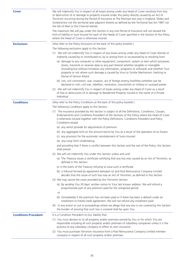| Cover                       | We will indemnify You in respect of all losses arising under any Head of Cover resulting from loss<br>or destruction of or damage to property insured under this policy directly caused by an Act of<br>Terrorism occurring during the Period of Insurance at The Premises but only in England, Wales and<br>Scotland but not the territorial seas adjacent thereto as defined by the Territorial Sea Act 1987 nor<br>the Isle of Man or the Channel Islands. |
|-----------------------------|---------------------------------------------------------------------------------------------------------------------------------------------------------------------------------------------------------------------------------------------------------------------------------------------------------------------------------------------------------------------------------------------------------------------------------------------------------------|
|                             | The maximum We will pay under this Section in any one Period of Insurance will not exceed the<br>limit of liability or Sum Insured for each of the Heads of Cover specified in the Section of this Policy<br>where the Head of Cover is otherwise insured.                                                                                                                                                                                                    |
| <b>Exclusions</b>           | (Also refer to the Policy Exclusions at the back of this policy booklet.)                                                                                                                                                                                                                                                                                                                                                                                     |
|                             | The following exclusions apply to this Section.                                                                                                                                                                                                                                                                                                                                                                                                               |
|                             | (1) We will not indemnify You in respect of any losses arising under any Head of Cover directly or<br>indirectly caused by or contributed to, by or arising from or occasioned by or resulting from                                                                                                                                                                                                                                                           |
|                             | (a) damage to any computer or other equipment, component, system or item which processes,<br>stores, transmits or receives data or any part thereof whether tangible or intangible<br>(including but without limitation any information, programs or software) and whether Your<br>property or not where such damage is caused by Virus or Similar Mechanism, Hacking or<br>Denial of Service Attack.                                                         |
|                             | (b) riot, civil commotion, war, invasion, act of foreign enemy hostilities (whether war be<br>declared or not), civil war, rebellion, revolution, insurrection or military or usurped power.                                                                                                                                                                                                                                                                  |
|                             | (2) We will not indemnify You in respect of losses arising under any Head of Cover as a result<br>of loss or destruction of or damage to Residential Property insured in the name of a Private<br>Individual.                                                                                                                                                                                                                                                 |
| <b>Conditions</b>           | (Also refer to the Policy Conditions at the back of this policy booklet.)                                                                                                                                                                                                                                                                                                                                                                                     |
|                             | The following Conditions apply to this Section.                                                                                                                                                                                                                                                                                                                                                                                                               |
|                             | (1) The insurance provided by this Section is subject to all the Definitions, Conditions, Clauses,<br>Endorsements and Conditions Precedent of the Sections of this Policy where the Head of Cover<br>is otherwise insured together with the Policy Definitions, Conditions Precedent and Policy<br>Conditions except                                                                                                                                         |
|                             | (a) any which provide for adjustments of premium                                                                                                                                                                                                                                                                                                                                                                                                              |
|                             | (b) any aggregate limit on the amount borne by You as a result of the operation of an Excess                                                                                                                                                                                                                                                                                                                                                                  |
|                             | (c) any provision for the automatic reinstatement of Sums Insured                                                                                                                                                                                                                                                                                                                                                                                             |
|                             | (d) any Long Term Undertaking                                                                                                                                                                                                                                                                                                                                                                                                                                 |
|                             | and providing that if there is conflict between this Section and the rest of the Policy, this Section<br>shall prevail.                                                                                                                                                                                                                                                                                                                                       |
|                             | (2) We will not indemnify You under this Section unless and until                                                                                                                                                                                                                                                                                                                                                                                             |
|                             | (a) The Treasury issues a certificate certifying that any loss was caused by an Act of Terrorism, as<br>defined in this Section                                                                                                                                                                                                                                                                                                                               |
|                             | or in the event of the Treasury refusing to issue such a certificate                                                                                                                                                                                                                                                                                                                                                                                          |
|                             | (b) a tribunal formed by agreement between Us and Pool Reinsurance Company Limited<br>decides that the cause of such loss was an Act of Terrorism, as defined in this Section.                                                                                                                                                                                                                                                                                |
|                             | (3) We may cancel the cover provided by this Terrorism Section                                                                                                                                                                                                                                                                                                                                                                                                |
|                             | (a) By sending You 30 days' written notice to Your last known address. We will refund a<br>proportionate part of any premium paid for the unexpired period.                                                                                                                                                                                                                                                                                                   |
|                             | <b>or</b>                                                                                                                                                                                                                                                                                                                                                                                                                                                     |
|                             | (b) Immediately if the premium has not been paid or if there has been a default under an<br>instalment or linked credit agreement. We will not refund any instalment paid.                                                                                                                                                                                                                                                                                    |
|                             | (4) In any action or suit or proceedings where we allege that any loss is not covered by this Section<br>the burden of proving that such loss is covered shall be upon You.                                                                                                                                                                                                                                                                                   |
| <b>Conditions Precedent</b> | It is a Condition Precedent to Our liability that                                                                                                                                                                                                                                                                                                                                                                                                             |
|                             | (1) You must declare to Us all property and/or premises owned by You or for which You are<br>responsible including all such property and/or premises of subsidiary companies unless it is the<br>practice of any subsidiary company to effect its own insurance                                                                                                                                                                                               |
|                             | (2) You must purchase Terrorism insurance from a Pool Reinsurance Company Limited member<br>company in respect of all such property and/or premises.                                                                                                                                                                                                                                                                                                          |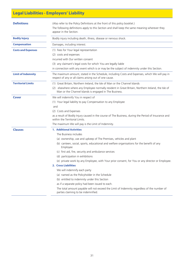# **Legal Liabilities - Employers' Liability**

| <b>Definitions</b>        | (Also refer to the Policy Definitions at the front of this policy booklet.)<br>The following definitions apply to this Section and shall keep the same meaning wherever they<br>appear in the Section. |
|---------------------------|--------------------------------------------------------------------------------------------------------------------------------------------------------------------------------------------------------|
| <b>Bodily Injury</b>      | Bodily injury including death, illness, disease or nervous shock.                                                                                                                                      |
|                           |                                                                                                                                                                                                        |
| <b>Compensation</b>       | Damages, including interest.                                                                                                                                                                           |
| <b>Costs and Expenses</b> | (1) Fees for Your legal representation                                                                                                                                                                 |
|                           | (2) costs and expenses                                                                                                                                                                                 |
|                           | incurred with Our written consent                                                                                                                                                                      |
|                           | (3) any claimant's legal costs for which You are legally liable                                                                                                                                        |
|                           | in connection with any event which is or may be the subject of indemnity under this Section.                                                                                                           |
| <b>Limit of Indemnity</b> | The maximum amount, stated in the Schedule, including Costs and Expenses, which We will pay in<br>respect of any or all claims arising out of one cause.                                               |
| <b>Territorial Limits</b> | (1) Great Britain, Northern Ireland, the Isle of Man or the Channel Islands                                                                                                                            |
|                           | (2) elsewhere where any Employee normally resident in Great Britain, Northern Ireland, the Isle of<br>Man or the Channel Islands is engaged in The Business.                                           |
| Cover                     | We will indemnify You in respect of                                                                                                                                                                    |
|                           | (1) Your legal liability to pay Compensation to any Employee                                                                                                                                           |
|                           | and                                                                                                                                                                                                    |
|                           | (2) Costs and Expenses                                                                                                                                                                                 |
|                           | as a result of Bodily Injury caused in the course of The Business, during the Period of Insurance and<br>within the Territorial Limits.                                                                |
|                           | The maximum We will pay is the Limit of Indemnity.                                                                                                                                                     |
| <b>Clauses</b>            | <b>1. Additional Activities</b>                                                                                                                                                                        |
|                           | The Business includes                                                                                                                                                                                  |
|                           | (a) ownership, use and upkeep of The Premises, vehicles and plant                                                                                                                                      |
|                           | (b) canteen, social, sports, educational and welfare organisations for the benefit of any<br>Employee                                                                                                  |
|                           | (c) first aid, fire, security and ambulance services                                                                                                                                                   |
|                           | (d) participation in exhibitions                                                                                                                                                                       |
|                           | (e) private work by any Employee, with Your prior consent, for You or any director or Employee.                                                                                                        |
|                           | 2. Cross Liabilities                                                                                                                                                                                   |
|                           | We will indemnify each party                                                                                                                                                                           |
|                           | (a) named as the Policyholder in the Schedule                                                                                                                                                          |
|                           | (b) entitled to indemnity under this Section                                                                                                                                                           |
|                           | as if a separate policy had been issued to each.                                                                                                                                                       |
|                           | The total amount payable will not exceed the Limit of Indemnity regardless of the number of<br>parties claiming to be indemnified.                                                                     |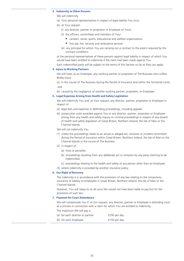#### **3. Indemnity to Other Persons**

We will indemnify

- (a) Your personal representatives in respect of legal liability You incur
- (b) at Your request
	- (i) any director, partner or proprietor or Employee of Yours
	- (ii) the officers, committees and members of Your
		- canteen, social, sports, educational and welfare organizations
		- first aid, fire, security and ambulance services
	- (iii) any principal for whom You are carrying out a contract to the extent required by the contract conditions

or the personal representatives of these persons against legal liability in respect of which You would have been entitled to indemnity if the claim had been made against You.

Each indemnified party will be subject to the terms of this Section so far as they can apply.

#### **4. Injury to Working Partners**

We will treat, as an Employee, any working partner or proprietor of The Business who suffers Bodily Injury

(a) in the course of The Business during the Period of Insurance and within the Territorial Limits and

(b) caused by the negligence of another working partner, proprietor, or Employee.

#### **5. Legal Expenses Arising from Health and Safety Legislation**

We will indemnify You and, at Your request, any director, partner, proprietor or Employee in respect of

- (a) legal fees and expenses in defending proceedings, including appeals
- (b) prosecution costs awarded against You or any director, partner, proprietor or Employee arising from any health and safety inquiry or criminal proceedings in respect of any breach of health and safety legislation of Great Britain, Northern Ireland, the Isle of Man or the Channel Islands.

We will not indemnify You

- (1) unless the proceedings relate to an actual or alleged act, omission or incident committed during the Period of Insurance within Great Britain, Northern Ireland, the Isle of Man or the Channel Islands in the course of The Business
- (2) in respect of
	- (a) fines or penalties
	- (b) proceedings resulting from any deliberate act or omission by any party claiming to be indemnified
	- (c) proceedings relating to the health and safety of any person other than an Employee
- (3) where indemnity is provided by another insurance policy.

#### **6. Our Right of Recovery**

The indemnity is in accordance with the provisions of any law relating to the compulsory insurance of liability to employees in Great Britain, Northern Ireland, the Isle of Man or the Channel Islands.

However, You will repay to Us all sums We would not have been liable to pay but for the provisions of such law.

#### **7. Payment for Court Attendance**

We will compensate You if, at Our request, any director, partner or Employee is attending court as a witness in connection with a claim for which You are entitled to indemnity.

The maximum We will pay is

| (a) for each director or partner | £250 per day  |
|----------------------------------|---------------|
| (b) for each Employee            | £150 per day. |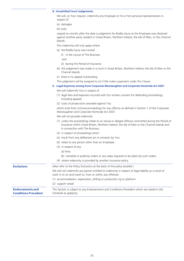#### **8. Unsatisfied Court Judgements**

We will, at Your request, indemnify any Employee or his or her personal representatives in respect of

(a) damages

(b) costs

unpaid six months after the date a judgement for Bodily Injury to the Employee was obtained against another party resident in Great Britain, Northern Ireland, the Isle of Man, or the Channel Islands.

This indemnity will only apply where

(a) the Bodily Injury was caused

(i) in the course of The Business

and

- (ii) during the Period of Insurance
- (b) the judgement was made in a court in Great Britain, Northern Ireland, the Isle of Man or the Channel Islands
- (c) there is no appeal outstanding.
- The judgement will be assigned to Us if We make a payment under this Clause.
- **9. Legal Expenses arising from Corporate Manslaughter and Corporate Homicide Act 2007**  We will indemnify You in respect of
	- (1) legal fees and expenses incurred with Our written consent for defending proceedings, including appeals
	- (2) costs of prosecution awarded against You

which arise from criminal proceedings for any offence as defined in Section 1 of the Corporate Manslaughter and Corporate Homicide Act 2007.

- We will not provide indemnity
- (1) unless the proceedings relate to an actual or alleged offence committed during the Period of Insurance within Great Britain, Northern Ireland, the Isle of Man or the Channel Islands and in connection with The Business.
- (2) in respect of proceedings which
- (a) result from any deliberate act or omission by You.
- (b) relate to any person other than an Employee.
- (3) in respect of any
	- (a) fines
	- (b) remedial or publicity orders or any steps required to be taken by such orders.
- (4) where indemnity is provided by another insurance policy.

| <b>Exclusions</b>                                      | (Also refer to the Policy Exclusions at the back of this policy booklet.)                                                                                       |  |
|--------------------------------------------------------|-----------------------------------------------------------------------------------------------------------------------------------------------------------------|--|
|                                                        | We will not indemnify any person entitled to indemnity in respect of legal liability as a result of<br>work in or on and travel to, from or within any offshore |  |
|                                                        | (1) accommodation, exploration, drilling or production rig or platform                                                                                          |  |
|                                                        | (2) support vessel.                                                                                                                                             |  |
| <b>Endorsements and</b><br><b>Conditions Precedent</b> | This Section is subject to any Endorsements and Conditions Precedent which are stated in the<br>Schedule as applying.                                           |  |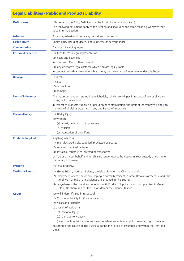# **Legal Liabilities - Public and Products Liability**

| <b>Definitions</b>        | (Also refer to the Policy Definitions at the front of this policy booklet.)<br>The following definitions apply to this Section and shall keep the same meaning wherever they<br>appear in the Section. |  |
|---------------------------|--------------------------------------------------------------------------------------------------------------------------------------------------------------------------------------------------------|--|
| <b>Asbestos</b>           | Asbestos, asbestos fibres or any derivatives of asbestos.                                                                                                                                              |  |
| <b>Bodily Injury</b>      | Bodily injury including death, illness, disease or nervous shock.                                                                                                                                      |  |
| <b>Compensation</b>       | Damages, including interest.                                                                                                                                                                           |  |
| <b>Costs and Expenses</b> | (1) Fees for Your legal representation                                                                                                                                                                 |  |
|                           | (2) costs and expenses                                                                                                                                                                                 |  |
|                           | incurred with Our written consent                                                                                                                                                                      |  |
|                           | (3) any claimant's legal costs for which You are legally liable                                                                                                                                        |  |
|                           | in connection with any event which is or may be the subject of indemnity under this Section.                                                                                                           |  |
| <b>Damage</b>             | Physical                                                                                                                                                                                               |  |
|                           | $(1)$ loss                                                                                                                                                                                             |  |
|                           | (2) destruction                                                                                                                                                                                        |  |
|                           | (3) damage.                                                                                                                                                                                            |  |
| <b>Limit of Indemnity</b> | The maximum amount, stated in the Schedule, which We will pay in respect of any or all claims<br>arising out of one cause.                                                                             |  |
|                           | In respect of Products Supplied or pollution or contamination, the Limit of Indemnity will apply to<br>the total of all claims occurring in any one Period of Insurance.                               |  |
| <b>Personal Injury</b>    | (1) Bodily Injury                                                                                                                                                                                      |  |
|                           | (2) wrongful                                                                                                                                                                                           |  |
|                           | (a) arrest, detention or imprisonment                                                                                                                                                                  |  |
|                           | (b) eviction                                                                                                                                                                                           |  |
|                           | (c) accusation of shoplifting.                                                                                                                                                                         |  |
| <b>Products Supplied</b>  | Anything which is                                                                                                                                                                                      |  |
|                           | (1) manufactured, sold, supplied, processed or treated                                                                                                                                                 |  |
|                           | (2) repaired, serviced or tested                                                                                                                                                                       |  |
|                           | (3) installed, constructed, erected or transported                                                                                                                                                     |  |
|                           | by You or on Your behalf and which is no longer owned by You or in Your custody or control or<br>that of any Employee.                                                                                 |  |
| <b>Property</b>           | Material property.                                                                                                                                                                                     |  |
| <b>Territorial Limits</b> | (1) Great Britain, Northern Ireland, the Isle of Man or the Channel Islands.                                                                                                                           |  |
|                           | (2) elsewhere where You or any Employee normally resident in Great Britain, Northern Ireland, the<br>Isle of Man or the Channel Islands are engaged in The Business.                                   |  |
|                           | (3) anywhere in the world in connection with Products Supplied at or from premises in Great<br>Britain, Northern Ireland, the Isle of Man or the Channel Islands.                                      |  |
| Cover                     | We will indemnify You in respect of                                                                                                                                                                    |  |
|                           | (1) Your legal liability for Compensation                                                                                                                                                              |  |
|                           | (2) Costs and Expenses                                                                                                                                                                                 |  |
|                           | as a result of accidental                                                                                                                                                                              |  |
|                           | (a) Personal Injury                                                                                                                                                                                    |  |
|                           | (b) Damage to Property                                                                                                                                                                                 |  |
|                           | (c) obstruction, trespass, nuisance or interference with any right of way, air, light or water                                                                                                         |  |
|                           | occurring in the course of The Business during the Period of Insurance and within the Territorial<br>Limits.                                                                                           |  |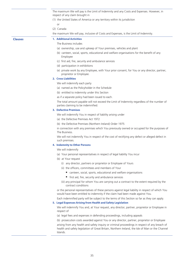The maximum We will pay is the Limit of Indemnity and any Costs and Expenses. However, in respect of any claim brought in

- (1) the United States of America or any territory within its jurisdiction
	- or
- (2) Canada

the maximum We will pay, inclusive of Costs and Expenses, is the Limit of Indemnity.

### **Clauses 1. Additional Activities**

The Business includes

- (a) ownership, use and upkeep of Your premises, vehicles and plant
- (b) canteen, social, sports, educational and welfare organisations for the benefit of any Employee
- (c) first aid, fire, security and ambulance services
- (d) participation in exhibitions
- (e) private work by any Employee, with Your prior consent, for You or any director, partner, proprietor or Employee.

#### **2. Cross Liabilities**

We will indemnify each party

- (a) named as the Policyholder in the Schedule
- (b) entitled to indemnity under this Section
- as if a separate policy had been issued to each.

The total amount payable will not exceed the Limit of Indemnity regardless of the number of parties claiming to be indemnified.

### **3. Defective Premises**

We will indemnify You in respect of liability arising under

- (a) the Defective Premises Act 1972
- (b) the Defective Premises (Northern Ireland) Order 1975

in connection with any premises which You previously owned or occupied for the purposes of The Business.

We will not indemnify You in respect of the cost of rectifying any defect or alleged defect in such premises.

#### **4. Indemnity to Other Persons**

We will indemnify

- (a) Your personal representatives in respect of legal liability You incur
- (b) at Your request
	- (i) any director, partners or proprietor or Employee of Yours
	- (ii) the officers, committees and members of Your
		- canteen, social, sports, educational and welfare organisations
		- first aid, fire, security and ambulance services
	- (iii) any principal for whom You are carrying out a contract to the extent required by the contract conditions

or the personal representatives of these persons against legal liability in respect of which You would have been entitled to indemnity if the claim had been made against You.

Each indemnified party will be subject to the terms of this Section so far as they can apply.

#### **5. Legal Expenses Arising from Health and Safety Legislation**

We will indemnify You and, at Your request, any director, partner, proprietor or Employee in respect of

- (a) legal fees and expenses in defending proceedings, including appeals
- (b) prosecution costs awarded against You or any director, partner, proprietor or Employee

arising from any health and safety inquiry or criminal proceedings in respect of any breach of health and safety legislation of Great Britain, Northern Ireland, the Isle of Man or the Channel Islands.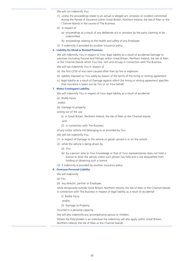We will not indemnify You

- (1) unless the proceedings relate to an actual or alleged act, omission or incident committed during the Period of Insurance within Great Britain, Northern Ireland, the Isle of Man or the Channel Islands in the course of The Business
- (2) in respect of
	- (a) proceedings as a result of any deliberate act or omission by the party claiming to be indemnified
	- (b) proceedings relating to the health and safety of any Employee
- (3) if indemnity is provided by another insurance policy.

#### **6. Liability for Hired or Rented Premises**

We will indemnify You in respect of Your legal liability as a result of accidental Damage to premises (including fixtures and fittings) within Great Britain, Northern Ireland, the Isle of Man or the Channel Islands which You hire, rent and occupy in connection with The Business.

We will not indemnify You in respect of

- (a) the first £250 of any claim caused other than by fire or explosion
- (b) liability imposed on You solely by reason of the terms of the hiring or renting agreement
- (c) legal liability as a result of Damage against which the hiring or renting agreement specifies that insurance is taken out by You or on Your behalf.

#### **7. Motor Contingent Liability**

We will indemnify You in respect of Your legal liability as a result of accidental

- (a) Bodily Injury
- and/or
- (b) Damage to property
- arising out of the use

(i) in Great Britain, Northern Ireland, the Isle of Man or the Channel Islands

and

(ii) in connection with The Business

of any motor vehicle not belonging to or provided by You.

We will not indemnify You

- (1) in respect of Damage to the vehicle or goods carried in or on the vehicle
- (2) while the vehicle is being driven by
	- (a) You
	- (b) by a person who to Your knowledge or that of Your representatives does not hold a licence to drive the vehicle unless such person has held and is not disqualified from holding or obtaining such a licence
- (3) if indemnity is provided by another insurance policy.

#### **8. Overseas Personal Liability**

We will indemnify

- (a) You
- (b) any director, partner or Employee

while temporarily outside Great Britain, Northern Ireland, the Isle of Man or the Channel Islands in connection with The Business in respect of legal liability as a result of accidental

- (i) Bodily Injury
- and/or
- (ii) Damage to Property

incurred in a personal capacity.

We will also indemnify any accompanying spouse or children.

Where the Policyholder is an individual the indemnity will also apply within Great Britain, Northern Ireland, the Isle of Man or the Channel Islands.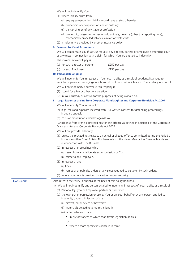We will not indemnify You

- (1) where liability arises from
	- (a) any agreement unless liability would have existed otherwise
	- (b) ownership or occupation of land or buildings
	- (c) the carrying on of any trade or profession
	- (d) ownership, possession or use of wild animals, firearms (other than sporting guns), mechanically propelled vehicles, aircraft or watercraft
- (2) if indemnity is provided by another insurance policy.

#### **9. Payment for Court Attendance**

We will compensate You if, at Our request, any director, partner or Employee is attending court as a witness in connection with a claim for which You are entitled to indemnity.

The maximum We will pay is

| (a) for each director or partner | £250 per day  |
|----------------------------------|---------------|
| (b) for each Employee            | £150 per day. |

#### **10. Personal Belongings**

We will indemnify You in respect of Your legal liability as a result of accidental Damage to vehicles or personal belongings which You do not own but which are in Your custody or control.

- We will not indemnify You where this Property is
- (1) stored for a fee or other consideration
- (2) in Your custody or control for the purposes of being worked on.

#### **11. Legal Expenses arising from Corporate Manslaughter and Corporate Homicide Act 2007**

We will indemnify You in respect of

- (a) legal fees and expenses incurred with Our written consent for defending proceedings, including appeals
- (b) costs of prosecution awarded against You

 which arise from criminal proceedings for any offence as defined in Section 1 of the Corporate Manslaughter and Corporate Homicide Act 2007.

We will not provide indemnity

- (1) unless the proceedings relate to an actual or alleged offence committed during the Period of Insurance within Great Britain, Northern Ireland, the Isle of Man or the Channel Islands and in connection with The Business.
- (2) in respect of proceedings which
	- (a) result from any deliberate act or omission by You.
	- (b) relate to any Employee.
- (3) in respect of any
	- (a) fines.
	- (b) remedial or publicity orders or any steps required to be taken by such orders.
- (4) where indemnity is provided by another insurance policy.

- **Exclusions** (Also refer to the Policy Exclusions at the back of this policy booklet.)
	- (1) We will not indemnify any person entitled to indemnity in respect of legal liability as a result of
		- (a) Personal Injury to an Employee, partner or proprietor
		- (b) the ownership, possession or use by You or on Your behalf or by any person entitled to indemnity under this Section of any
			- (i) aircraft, aerial device or hovercraft
			- (ii) watercraft exceeding 8 metres in length
			- (iii) motor vehicle or trailer
				- $\blacksquare$  in circumstances to which road traffic legislation applies
				- or
				- where a more specific insurance is in force.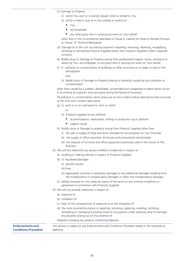- (c) Damage to Property
	- (i) which You own or is loaned, leased, hired or rented to You
	- (ii) which is held in trust or in the custody or control of
		- You
		- **any Employee**
		- any other party who is carrying out work on Your behalf

other than in the circumstances described in Clause 6. Liability for Hired or Rented Premises or Clause 10. Personal Belongings.

- (d) Damage to or the cost incurred by anyone in repairing, removing, replacing, re-applying, rectifying or reinstating Products Supplied (other than Products Supplied under a separate contract).
- (e) Bodily Injury or Damage to Property arising from professional neglect, errors, omissions or advice by You, any Employee, or any party who is carrying out work on Your behalf.
- (f) (i) pollution or contamination of buildings or other structures or of water or land or the atmosphere

and

(ii) Bodily Injury or Damage to Property directly or indirectly caused by such pollution or contamination

other than caused by a sudden, identifiable, unintended and unexpected incident which occurs in its entirety at a specific time and place during the Period of Insurance.

All pollution or contamination which arises out of one incident will be deemed to have occurred at the time such incident takes place.

- (g) (i) work in or on and travel to, from or within
	- or
	- (ii) Products Supplied to any offshore
		- accommodation, exploration, drilling or production rig or platform
		- support vessel
- (h) Bodily Injury or Damage to property arising from Products Supplied other than
	- (i) the sale or supply of food and drink intended for consumption on Your Premises
	- (ii) the supply of office requisites, brochures and promotional merchandise
	- (iii) the disposal of furniture and office equipment previously used in the course of The Business.
- (2) We will not indemnify any person entitled to indemnity in respect of
	- (a) recalling or making refunds in respect of Products Supplied
	- (b) (i) liquidated damages
		- (ii) penalty clauses
		- (iii) fines
		- (iv) aggravated, punitive or exemplary damages or any additional damages resulting from the multiplication of compensatory damages or other non-compensatory damages.
	- (c) liability imposed on You solely by reason of the terms or any contract conditions or agreement in connection with Products Supplied.
- (3) We will not provide indemnity in respect of
	- (a) exposure to
	- (b) inhalation of
	- (c) fears of the consequences of exposure to or the inhalation of
	- (d) the costs incurred by anyone in repairing, removing, replacing, recalling, rectifying, reinstating or managing (including those of any persons under statutory duty to manage) any property arising out of the presence of

Asbestos including any product containing Asbestos.

**Endorsements and Conditions Precedent** This section is subject to any Endorsements and Conditions Precedent stated in the Schedule as applying.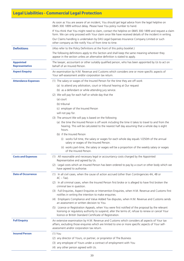# **Legal Liabilities - Commercial Legal Protection**

|                                                                                                                                                                            | As soon as You are aware of an incident, You should get legal advice from the legal helpline on<br>0845 300 1899 without delay. Please have You policy number to hand.                                                                                            |
|----------------------------------------------------------------------------------------------------------------------------------------------------------------------------|-------------------------------------------------------------------------------------------------------------------------------------------------------------------------------------------------------------------------------------------------------------------|
|                                                                                                                                                                            | If You think that You might need to claim, contact the helpline on 0845 300 1899 and request a claim<br>form. We can only proceed with Your claim once We have received details of the incident in writing.                                                       |
|                                                                                                                                                                            | Our Claims handling is undertaken by DAS Legal Expenses Insurance Company Limited or such<br>other company as We notify You of from time to time.                                                                                                                 |
| <b>Definitions</b>                                                                                                                                                         | (Also refer to the Policy Definitions at the front of this policy booklet.)                                                                                                                                                                                       |
|                                                                                                                                                                            | The following definitions apply to this Section and shall keep the same meaning wherever they<br>appear in the section unless an alternative definition is stated to apply.                                                                                       |
| <b>Appointed</b><br><b>Representative</b>                                                                                                                                  | The lawyer, accountant or other suitably qualified person, who has been appointed by Us to act on<br>behalf of an Insured Person.                                                                                                                                 |
| An examination by H.M. Revenue and Customs which considers one or more specific aspects of<br><b>Aspect Enquiry</b><br>Your self-assessment and/or corporation tax return. |                                                                                                                                                                                                                                                                   |
| <b>Attendance Expenses</b>                                                                                                                                                 | (1) The salary or wages of the Insured Person for the time they are off work                                                                                                                                                                                      |
|                                                                                                                                                                            | (a) to attend any arbitration, court or tribunal hearing at Our request                                                                                                                                                                                           |
|                                                                                                                                                                            | (b) as a defendant or while attending jury service.                                                                                                                                                                                                               |
|                                                                                                                                                                            | (2) We will pay for each half or whole day that the                                                                                                                                                                                                               |
|                                                                                                                                                                            | (a) court                                                                                                                                                                                                                                                         |
|                                                                                                                                                                            | (b) tribunal                                                                                                                                                                                                                                                      |
|                                                                                                                                                                            | (c) employer of the Insured Person                                                                                                                                                                                                                                |
|                                                                                                                                                                            | will not pay for.                                                                                                                                                                                                                                                 |
|                                                                                                                                                                            | (3) The amount We will pay is based on the following                                                                                                                                                                                                              |
|                                                                                                                                                                            | (a) the time the Insured Person is off work including the time it takes to travel to and from the<br>hearing. This will be calculated to the nearest half day assuming that a whole day is eight<br>hours.                                                        |
|                                                                                                                                                                            | (b) if the Insured Person                                                                                                                                                                                                                                         |
|                                                                                                                                                                            | (i) works full time, the salary or wages for each whole day equals 1/250th of the annual<br>salary or wages of the Insured Person.                                                                                                                                |
|                                                                                                                                                                            | (ii) works part-time, the salary or wages will be a proportion of the weekly salary or wages<br>of the Insured Person.                                                                                                                                            |
| <b>Costs and Expenses</b>                                                                                                                                                  | (1) All reasonable and necessary legal or accountancy costs charged by the Appointed<br>Representative and agreed by Us.                                                                                                                                          |
|                                                                                                                                                                            | (2) Legal costs which an Insured Person has been ordered to pay by a court or other body which we<br>have agreed to authorise.                                                                                                                                    |
| <b>Date of Occurrence</b>                                                                                                                                                  | (1) In all civil cases, when the cause of action accrued (other than Contingencies 4A, 4B or<br>$4C - Tax$ ).                                                                                                                                                     |
|                                                                                                                                                                            | (2) In all criminal cases, when the Insured Person first broke or is alleged to have first broken the<br>criminal law in question.                                                                                                                                |
|                                                                                                                                                                            | (3) Full Enquiries, Aspect Enquiries or Intervention Enquiries, when H.M. Revenue and Customs first<br>notifies in writing the intention to make enquiries.                                                                                                       |
|                                                                                                                                                                            | (4) Employers Compliance and Value Added Tax disputes, when H.M. Revenue and Customs sends<br>an assessment or written decision to You.                                                                                                                           |
|                                                                                                                                                                            | (5) Licence or Registration Appeals, when You were first notified of the proposal by the relevant<br>licensing or regulatory authority to suspend, alter the terms of, refuse to renew or cancel Your<br>licence or British Standard Certificate of Registration. |
| <b>Full Enquiry</b>                                                                                                                                                        | An extensive examination by H.M. Revenue and Customs which considers all aspects of Your tax<br>affairs, excluding those enquiries which are limited to one or more specific aspects of Your self-<br>assessment and/or corporation tax return.                   |
| <b>Insured Person</b>                                                                                                                                                      | $(1)$ You                                                                                                                                                                                                                                                         |
|                                                                                                                                                                            | (2) any director of Yours, or partner, or proprietor of The Business                                                                                                                                                                                              |
|                                                                                                                                                                            | (3) any employee of Yours under a contract of employment with You                                                                                                                                                                                                 |
|                                                                                                                                                                            | (4) any other person agreed with Us.                                                                                                                                                                                                                              |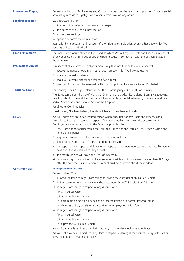| <b>Intervention Enquiry</b> | An examination by H.M. Revenue and Customs to measure the level of compliance in Your financial<br>accounting records to highlight area where errors have or may occur                                                                                       |
|-----------------------------|--------------------------------------------------------------------------------------------------------------------------------------------------------------------------------------------------------------------------------------------------------------|
| <b>Legal Proceedings</b>    | Legal proceedings for                                                                                                                                                                                                                                        |
|                             | (1) the pursuit or defence of a claim for damages                                                                                                                                                                                                            |
|                             | (2) the defence of a criminal prosecution                                                                                                                                                                                                                    |
|                             | (3) appeal proceedings                                                                                                                                                                                                                                       |
|                             | (4) specific performance or injunction                                                                                                                                                                                                                       |
|                             | dealt with by negotiation or in a court of law, tribunal or arbitration or any other body which We<br>have agreed to or authorised.                                                                                                                          |
| <b>Limit of Indemnity</b>   | The maximum amount stated in the Schedule which We will pay for Costs and Expenses in respect<br>of any or all claims arising out of one originating cause in connection with the business stated in<br>the Schedule.                                        |
| <b>Prospects of Success</b> | In respect of all civil cases, it is always more likely than not that an Insured Person will                                                                                                                                                                 |
|                             | (1) recover damages or obtain any other legal remedy which We have agreed to                                                                                                                                                                                 |
|                             | (2) make a successful defence                                                                                                                                                                                                                                |
|                             | (3) make a successful appeal or defence of an appeal.                                                                                                                                                                                                        |
|                             | Prospects of Success will be assessed by Us or an Appointed Representative on Our behalf.                                                                                                                                                                    |
| <b>Territorial Limits</b>   | For Contingencies 2 Legal Defence (other than Contingency 2E) and 3B Bodily Injury                                                                                                                                                                           |
|                             | The European Union, the Isle of Man, the Channel Islands, Albania, Andorra, Bosnia Herzegovina,<br>Croatia, Gibraltar, Iceland, Liechtenstein, Macedonia, Monaco, Montenegro, Norway, San Marino,<br>Serbia, Switzerland and Turkey (West of the Bosphorus). |
|                             | For all other Contingencies                                                                                                                                                                                                                                  |
|                             | Great Britain, Northern Ireland, the Isle of Man and the Channel Islands.                                                                                                                                                                                    |
| Cover                       | We will indemnify You or an Insured Person where specified for any Costs and Expenses and<br>Attendance Expenses incurred in respect of Legal Proceedings following the occurrence of a<br>Contingency stated as applying in the Schedule provided that      |
|                             | (1) the Contingency occurs within the Territorial Limits and the Date of Occurrence is within the<br>Period of Insurance                                                                                                                                     |
|                             | (2) any Legal Proceedings take place within the Territorial Limits                                                                                                                                                                                           |
|                             | (3) Prospects of Success exist for the duration of the claim                                                                                                                                                                                                 |
|                             | (4) in respect of any appeal or defence of an appeal, it has been reported to Us at least 10 working<br>days prior to the deadline for any appeal                                                                                                            |
|                             | (5) the maximum We will pay is the Limit of Indemnity.                                                                                                                                                                                                       |
|                             | (6) You must report an incident to Us as soon as possible and in any event no later than 180 days<br>after the date the Insured Person knew or should have known about the incident.                                                                         |
| <b>Contingencies</b>        | <b>1A Employment Disputes</b>                                                                                                                                                                                                                                |
|                             | We will defend You                                                                                                                                                                                                                                           |
|                             | (1) prior to the issue of Legal Proceedings following the dismissal of an Insured Person                                                                                                                                                                     |
|                             | (2) in the resolution of unfair dismissal disputes under the ACAS Arbitration Scheme                                                                                                                                                                         |
|                             | (3) in Legal Proceedings in respect of any dispute with                                                                                                                                                                                                      |
|                             | (a) an Insured Person                                                                                                                                                                                                                                        |
|                             | (b) a former Insured Person                                                                                                                                                                                                                                  |
|                             | (c) a trade union acting on behalf of an Insured Person or a former Insured Person                                                                                                                                                                           |
|                             | which arises out of, or relates to, a contract of employment with You                                                                                                                                                                                        |
|                             | (4) in Legal Proceedings in respect of any dispute with                                                                                                                                                                                                      |
|                             | (a) an Insured Person                                                                                                                                                                                                                                        |
|                             | (b) a former Insured Person                                                                                                                                                                                                                                  |
|                             | (c) a prospective Insured Person                                                                                                                                                                                                                             |
|                             | arising from an alleged breach of their statutory rights under employment legislation.                                                                                                                                                                       |
|                             | We will not provide indemnity for any claim in respect of damages for personal injury or loss of or<br>physical damage to material property.                                                                                                                 |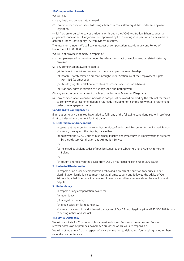#### **1B Compensation Awards**

#### We will pay

- (1) any basic and compensatory award
- (2) an order for compensation following a breach of Your statutory duties under employment legislation

which You are ordered to pay by a tribunal or through the ACAS Arbitration Scheme, under a judgement made after full argument and approved by Us in writing in respect of a claim We have accepted under Contingency 1A Employment Disputes.

The maximum amount We will pay in respect of compensation awards in any one Period of Insurance is £1,000,000.

We will not provide indemnity in respect of

- (1) non payment of money due under the relevant contract of employment or related statutory provision
- (2) any compensation award related to
	- (a) trade union activities, trade union membership or non-membership
	- (b) health & safety related dismissals brought under Section 44 of the Employment Rights Act 1996 (as amended)
	- (c) statutory rights in relation to trustees of occupational pension schemes
	- (d) statutory rights in relation to Sunday shop and betting work
- (3) any award ordered as a result of a breach of National Minimum Wage laws
- (4) any compensation award or increase in compensation award ordered by the tribunal for failure to comply with a recommendation it has made including non-compliance with a reinstatement order or re-engagement order.

#### **Conditions to Contingency 1B**

If in relation to any claim You have failed to fulfil any of the following conditions You will lose Your right to indemnity or payment for that claim.

#### **1. Performance and/or conduct**

In cases relating to performance and/or conduct of an Insured Person, or former Insured Person You must, throughout the dispute, have either

- (a) followed the ACAS Code of Disciplinary Practice and Procedures in Employment as prepared by the Advisory Conciliation and Arbitration Service
- or
- (b) followed equivalent codes of practice issued by the Labour Relations Agency in Northern Ireland
- or
- (c) sought and followed the advice from Our 24 hour legal helpline (0845 300 1899).

#### **2. Unlawful Discrimination**

In respect of an order of compensation following a breach of Your statutory duties under discrimination legislation You must have at all times sought and followed the advice of Our 24 hour legal helpline since the date You knew or should have known about the employment dispute.

#### **3. Redundancy**

In respect of any compensation award for

- (a) redundancy
- (b) alleged redundancy
- (c) unfair selection for redundancy.

You must have sought and followed the advice of Our 24 hour legal helpline (0845 300 1899) prior to serving notice of dismissal.

#### **1C Service Occupancy**

We will negotiate for Your legal rights against an Insured Person or former Insured Person to recover possession of premises owned by You, or for which You are responsible.

We will not indemnify You in respect of any claim relating to defending Your legal rights other than defending a counter claim.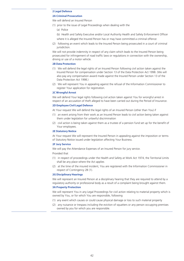#### **2 Legal Defence**

### **2A Criminal Prosecution**

We will defend an Insured Person

- (1) prior to the issue of Legal Proceedings when dealing with the
	- (a) Police
	- (b) Health and Safety Executive and/or Local Authority Health and Safety Enforcement Officer
	- where it is alleged the Insured Person has or may have committed a criminal offence
- (2) following an event which leads to the Insured Person being prosecuted in a court of criminal jurisdiction.

We will not provide indemnity in respect of any claim which leads to the Insured Person being prosecuted for infringement of road traffic laws or regulations in connection with the ownership, driving or use of a motor vehicle.

#### **2B Data Protection**

- (1) We will defend the legal rights of an Insured Person following civil action taken against the Insured Person for compensation under Section 13 of the Data Protection Act 1998. (We will also pay any compensation award made against the Insured Person under Section 13 of the Data Protection Act 1998.)
- (2) We will represent You in appealing against the refusal of the Information Commissioner to register Your application for registration.

#### **2C Wrongful Arrest**

We will defend Your legal rights following civil action taken against You for wrongful arrest in respect of an accusation of theft alleged to have been carried out during the Period of Insurance.

#### **2D Employee Civil Legal Defence**

At Your request We will defend the legal rights of an Insured Person (other than You) if

- (1) an event arising from their work as an Insured Person leads to civil action being taken against them under legislation for unlawful discrimination
- (2) civil action is being taken against them as a trustee of a pension fund set up for the benefit of Your employees.

#### **2E Statutory Notice**

At Your request We will represent the Insured Person in appealing against the imposition or terms of Statutory Notice issued under legislation affecting Your Business.

#### **2F Jury Service**

We will pay the Attendance Expenses of an Insured Person for jury service.

#### Provided that

- (1) in respect of proceedings under the Health and Safety at Work Act 1974, the Territorial Limits shall be any place where the Act applies
- (2) at the time of the insured incident, You are registered with the Information Commissioner in respect of Contingency 2B (1).

#### **2G Disciplinary Hearings**

We will represent an Insured Person at a disciplinary hearing that they are required to attend by a regulatory authority or professional body as a result of a complaint being brought against them.

#### **3A Property Protection**

We will represent You in any Legal Proceedings for civil action relating to material property which is owned by You, or for which You are responsible, following

- (1) any event which causes or could cause physical damage or loss to such material property
- (2) any nuisance or trespass including the eviction of squatters or any person occupying premises owned by you for which you are responsible.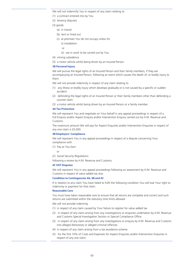We will not indemnify You in respect of any claim relating to

- (1) a contract entered into by You
- (2) tenancy disputes
- (3) goods
	- (a) in transit
	- (b) lent or hired out
	- (c) at premises You do not occupy unless for
		- (i) installation
		- or
		- (ii) use in work to be carried out by You
- (4) mining subsidence
- (5) a motor vehicle whilst being driven by an Insured Person.

#### **3B Personal Injury**

We will pursue the legal rights of an Insured Person and their family members, if they are accompanying an Insured Person, following an event which causes the death of, or bodily injury to them.

We will not provide indemnity in respect of any claim relating to

- (1) any illness or bodily injury which develops gradually or is not caused by a specific or sudden accident
- (2) defending the legal rights of an Insured Person or their family members other than defending a counter claim
- (3) a motor vehicle whilst being driven by an Insured Person or a family member.

#### **4A Tax Protection**

We will represent You and negotiate on Your behalf in any appeal proceedings in respect of a Full Enquiry and/or Aspect Enquiry and/or Intervention Enquiry carried out by H.M. Revenue and Customs.

The maximum amount We will pay for Aspect Enquiries and/or Intervention Enquiries in respect of any one claim is £5,000.

#### **4B Employers' Compliance**

We will represent You in any appeal proceedings in respect of a dispute concerning Your compliance with

- (1) Pay as You Earn
	- or
- (2) Social Security Regulations

following a review by H.M. Revenue and Customs.

#### **4C VAT Disputes**

We will represent You in any appeal proceedings following an assessment by H.M. Revenue and Customs in respect of value added tax due.

#### **Condition to Contingencies 4A, 4B and 4C**

If in relation to any claim You have failed to fulfil the following condition You will lose Your right to indemnity or payment for that claim.

#### **Reasonable Care**

You must have taken reasonable care to ensure that all returns are complete and correct and such returns are submitted within the statutory time limits allowed.

We will not provide indemnity

- (1) in respect of any claim caused by Your failure to register for value added tax
- (2) in respect of any claim arising from any investigations or enquiries undertaken by H.M. Revenue and Customs Special Investigation Section or Special Compliance Office
- (3) in respect of any claim arising from any investigations or enquiry by H.M. Revenue and Customs into alleged dishonesty or alleged criminal offences
- (4) in respect of any claim arising from a tax avoidance scheme
- (5) for the first 10% of Costs and Expenses for Aspect Enquiries and/or Intervention Enquiries in respect of any one claim.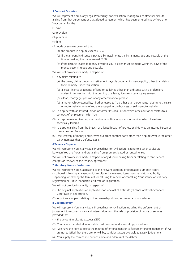#### **5 Contract Disputes**

We will represent You in any Legal Proceedings for civil action relating to a contractual dispute arising from that agreement or that alleged agreement which has been entered into by You or on Your behalf for the

- (1) sale
- (2) provision
- (3) purchase
- (4) hire
- of goods or services provided that
	- (a) the amount in dispute exceeds £250
	- (b) if the amount in dispute is payable by instalments, the instalments due and payable at the time of making the claim exceed £250
	- (c) if the dispute relates to money owed to You, a claim must be made within 90 days of the money becoming due and payable.

We will not provide indemnity in respect of

- (1) any claim relating to
	- (a) the cover, claims process or settlement payable under an insurance policy other than claims for indemnity under this section
	- (b) a lease, licence or tenancy of land or buildings other than a dispute with a professional adviser in connection with the drafting of a lease, licence or tenancy agreement
	- (c) a loan, mortgage, pension or any other financial product
	- (d) a motor vehicle owned by, hired or leased to You other than agreements relating to the sale or motor vehicles where You are engaged in the business of selling motor vehicles
- (2) a dispute with an Insured Person or former Insured Person which arises out of or relates to a contract of employment with You
- (3) a dispute relating to computer hardware, software, systems or services which have been specifically tailored
- (4) a dispute arising from the breach or alleged breach of professional duty by an Insured Person or former Insured Person
- (5) the recovery of money and interest due from another party other than disputes where the other party intimates that a defence exists.

#### **6 Tenancy Disputes**

We will represent You in any Legal Proceedings for civil action relating to a tenancy dispute between You and Your landlord arising from premises leased or rented to You.

We will not provide indemnity in respect of any dispute arising from or relating to rent, service charges or renewal of the tenancy agreement.

#### **7 Statutory Licence Protection**

We will represent You in appealing to the relevant statutory or regulatory authority, court, or tribunal following an event which results in the relevant licensing or regulatory authority suspending, or altering the terms of, or refusing to renew, or cancelling Your licence or statutory registration or British Standard Certificate of Registration.

We will not provide indemnity in respect of

- (1) An original application or application for renewal of a statutory licence or British Standard Certificate of Registration.
- (2) Any licence appeal relating to the ownership, driving or use of a motor vehicle.

#### **8 Debt Recovery**

We will represent You in any Legal Proceedings for civil action including the enforcement of judgement to recover money and interest due from the sale or provision of goods or services provided that

- (1) the amount in dispute exceeds £250
- (2) You have exhausted all reasonable credit control and accounting procedures
- (3) We have the right to select the method of enforcement or to forego enforcing judgement if We are not satisfied that there are, or will be, sufficient assets available to satisfy judgement
- (4) You supply the correct and current name and address of the debtor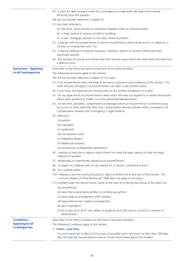|                              | (5) a claim for debt recovery under this Contingency is made within 90 days of the money                                                                                                                                                            |
|------------------------------|-----------------------------------------------------------------------------------------------------------------------------------------------------------------------------------------------------------------------------------------------------|
|                              | becoming due and payable.                                                                                                                                                                                                                           |
|                              | We will not provide indemnity in respect of                                                                                                                                                                                                         |
|                              | (1) any claim relating to                                                                                                                                                                                                                           |
|                              | (a) the cover, claims process or settlement payable under an insurance policy                                                                                                                                                                       |
|                              | (b) a lease, licence or tenancy of land or buildings                                                                                                                                                                                                |
|                              | (c) a loan, mortgage, pension or any other financial product                                                                                                                                                                                        |
|                              | (2) a dispute with an Insured Person or former Insured Person which arises out of, or relates to, a<br>contract of employment with You                                                                                                              |
|                              | (3) a dispute relating to computer hardware, software, systems or services which have been<br>specifically tailored                                                                                                                                 |
|                              | (4) the recovery of money and interest due from another party where the other party intimates that<br>a defence exists.                                                                                                                             |
| <b>Exclusions - Applying</b> | (Also refer to the Policy Exclusions at the back of this policy booklet.)                                                                                                                                                                           |
| to all Contingencies         | The following Exclusions apply to this Section.                                                                                                                                                                                                     |
|                              | We will not provide indemnity in respect of any claim                                                                                                                                                                                               |
|                              | (1) if an Insured Person does not keep to the terms, exclusions and conditions of this Section. The<br>cover will also not apply if an Insured Person can claim under another policy                                                                |
|                              | (2) if any Costs and Expenses are incurred prior to Our written acceptance of a claim                                                                                                                                                               |
|                              | (3) for any legal action an Insured Person takes which We have not agreed to or where the Insured<br>Person does anything to hinder Us or the Appointed Representative                                                                              |
|                              | (4) for any fines, penalties, compensation or damages which an Insured Person is ordered to pay<br>by a court or other authority other than compensation awards covered under Contingency 1B<br>Compensation Awards and Contingency 2 Legal Defence |
|                              | (5) relating to                                                                                                                                                                                                                                     |
|                              | (a) patents                                                                                                                                                                                                                                         |
|                              | (b) copyrights                                                                                                                                                                                                                                      |
|                              | (c) trademarks                                                                                                                                                                                                                                      |
|                              | (d) merchandise marks                                                                                                                                                                                                                               |
|                              | (e) registered designs                                                                                                                                                                                                                              |
|                              | (f) intellectual property                                                                                                                                                                                                                           |
|                              | (g) secrecy and confidentiality agreements                                                                                                                                                                                                          |
|                              | relating to franchise or agency rights where You have the legal capacity to alter the legal<br>(6)<br>relations of another                                                                                                                          |
|                              | (7) deliberately or intentionally caused by an Insured Person                                                                                                                                                                                       |
|                              | in respect of a dispute with Us not catered for in Section Conditions 6 and 7<br>(8)                                                                                                                                                                |
|                              | for a judicial review<br>(9)                                                                                                                                                                                                                        |
|                              | (10) relating to any non-contracting party's rights to enforce all or any part of this Section. The<br>Contracts (Rights of Third Parties) Act 1999 does not apply to this policy                                                                   |
|                              | (11) notified under this Section when, either at the start of or during the course of the claim You<br>(a) are bankrupt                                                                                                                             |
|                              | (b) have filed a bankruptcy petition or winding-up petition                                                                                                                                                                                         |
|                              | (c) have made an arrangement with creditors                                                                                                                                                                                                         |
|                              | (d) have entered into a deed or arrangement                                                                                                                                                                                                         |
|                              | (e) are in liquidation                                                                                                                                                                                                                              |
|                              | (f) are or part of or all of Your affairs or property are in the care or control of a receiver or<br>administrator.                                                                                                                                 |
| <b>Conditions-</b>           | (Also refer to the Policy Conditions at the back of this policy booklet.)                                                                                                                                                                           |
| <b>Applying to all</b>       | The following Conditions apply to this Section.                                                                                                                                                                                                     |
| <b>Contingencies</b>         | 1. Claims - your duty                                                                                                                                                                                                                               |
|                              | You must report an incident to Us as soon as possible and in any event no later than 180 days                                                                                                                                                       |
|                              | after the date the Insured Person knew or should have known about the incident.                                                                                                                                                                     |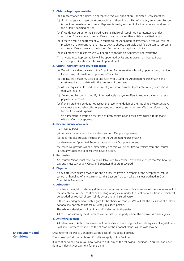#### **2. Claims – legal representation**

- (a) On acceptance of a claim, if appropriate, We will appoint an Appointed Representative.
- (b) If it is necessary to start court proceedings or there is a conflict of interest, an Insured Person is free to nominate an Appointed Representative by sending to Us the name and address of the suitably qualified person.
- (c) If We do not agree to the Insured Person's choice of Appointed Representative under condition 2(b) above, an Insured Person may choose another suitably qualified person.
- (d) If there is still a disagreement with regard to the Appointed Representative, We will ask the president of a relevant national law society to choose a suitably qualified person to represent an Insured Person. We and the Insured Person must accept such choice.
- (e) In all other circumstances We will be free to choose an Appointed Representative.
- (f) An Appointed Representative will be appointed by Us and represent an Insured Person according to Our standard terms of appointment.

#### **3. Claims – Our rights and Your obligations**

- (a) We will have direct access to the Appointed Representative who will, upon request, provide Us with any information or opinion on Your claim.
- (b) An Insured Person must co-operate fully with Us and the Appointed Representative and must keep Us up to date with the progress of the claim.
- (c) At Our request an Insured Person must give the Appointed Representative any instructions that We require.
- (d) An Insured Person must notify Us immediately if anyone offers to settle a claim or makes a payment into court.
- (e) If an Insured Person does not accept the recommendation of the Appointed Representative to accept a reasonable offer or payment into court to settle a claim, We may refuse to pay further Costs and Expenses.
- (f) No agreement to settle on the basis of both parties paying their own costs is to be made without Our prior approval.

#### **4. Discontinuance of a claim**

If an Insured Person

- (a) settles a claim or withdraws a claim without Our prior agreement
- (b) does not give suitable instructions to the Appointed Representative
- (c) dismisses an Appointed Representative without Our prior consent

the cover We provide will end immediately and We will be entitled to reclaim from the Insured Person any Costs and Expenses We have incurred.

### **5. Recoveries**

An Insured Person must take every available step to recover Costs and Expenses that We have to pay and must pay Us any Costs and Expenses that are recovered.

#### **6. Disputes**

If any difference arises between Us and an Insured Person in respect of the acceptance, refusal, control or handling of any claim under this Section, You can take the steps outlined in Our Complaints Procedure.

#### **7. Arbitration**

You have the right to refer any difference that arises between Us and an Insured Person in respect of the acceptance, refusal, control or handling of any claim under this Section to arbitration, which will be decided by counsel chosen jointly by Us and an Insured Person.

If there is a disagreement with regard to the choice of counsel, We will ask the president of a relevant national law society to choose a suitably qualified person.

The arbiter's decision shall be final and binding on both parties.

All costs for resolving the difference will be met by the party whom the decision is made against.

#### **8. Acts of Parliament**

All references to Acts of Parliament within this Section wording shall include equivalent legislation in Scotland, Northern Ireland, the Isle of Man or the Channel Islands as the case may be.

**Endorsements and Conditions**

(Also refer to the Policy Conditions at the back of this policy booklet.)

The following Endorsements and Conditions apply to this Section.

If in relation to any claim You have failed to fulfil any of the following Conditions, You will lose Your right to indemnity or payment for the claim.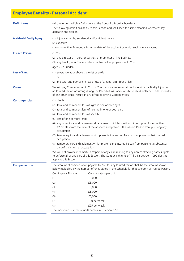# **Employee Benefits - Personal Accident**

| <b>Definitions</b>              | appear in the Section.                                                                                                                                                                                                                                                                                                                                                                                                                                                                                                                                                                                                                                                                                                                                                                                                                                                                                                       | (Also refer to the Policy Definitions at the front of this policy booklet.)<br>The following definitions apply to this Section and shall keep the same meaning wherever they                                                                                                                                                                                          |  |
|---------------------------------|------------------------------------------------------------------------------------------------------------------------------------------------------------------------------------------------------------------------------------------------------------------------------------------------------------------------------------------------------------------------------------------------------------------------------------------------------------------------------------------------------------------------------------------------------------------------------------------------------------------------------------------------------------------------------------------------------------------------------------------------------------------------------------------------------------------------------------------------------------------------------------------------------------------------------|-----------------------------------------------------------------------------------------------------------------------------------------------------------------------------------------------------------------------------------------------------------------------------------------------------------------------------------------------------------------------|--|
| <b>Accidental Bodily Injury</b> | (2) exposure                                                                                                                                                                                                                                                                                                                                                                                                                                                                                                                                                                                                                                                                                                                                                                                                                                                                                                                 | (1) injury caused by accidental and/or violent means<br>occurring within 24 months from the date of the accident by which such injury is caused.                                                                                                                                                                                                                      |  |
| <b>Insured Person</b>           | $(1)$ You<br>(2) any director of Yours, or partner, or proprietor of The Business<br>(3) any Employee of Yours under a contract of employment with You<br>aged 75 or under.                                                                                                                                                                                                                                                                                                                                                                                                                                                                                                                                                                                                                                                                                                                                                  |                                                                                                                                                                                                                                                                                                                                                                       |  |
| <b>Loss of Limb</b>             | (1) severance at or above the wrist or ankle<br><b>or</b><br>(2) the total and permanent loss of use of a hand, arm, foot or leg.                                                                                                                                                                                                                                                                                                                                                                                                                                                                                                                                                                                                                                                                                                                                                                                            |                                                                                                                                                                                                                                                                                                                                                                       |  |
| <b>Cover</b>                    |                                                                                                                                                                                                                                                                                                                                                                                                                                                                                                                                                                                                                                                                                                                                                                                                                                                                                                                              | We will pay Compensation to You or Your personal representatives for Accidental Bodily Injury to<br>an Insured Person occurring during the Period of Insurance which, solely, directly and independently<br>of any other cause, results in any of the following Contingencies.                                                                                        |  |
| <b>Contingencies</b>            | $(1)$ death<br>(2) total and permanent loss of sight in one or both eyes<br>(3) total and permanent loss of hearing in one or both ears<br>(4) total and permanent loss of speech<br>(5) loss of one or more limbs<br>(6) any other total and permanent disablement which lasts without interruption for more than<br>12 months from the date of the accident and prevents the Insured Person from pursuing any<br>occupation<br>(7) temporary total disablement which prevents the Insured Person from pursuing their normal<br>occupation<br>(8) temporary partial disablement which prevents the Insured Person from pursuing a substantial<br>part of their normal occupation<br>We will not provide indemnity in respect of any claim relating to any non-contracting parties rights<br>to enforce all or any part of this Section. The Contracts (Rights of Third Parties) Act 1999 does not<br>apply to this Section. |                                                                                                                                                                                                                                                                                                                                                                       |  |
| <b>Compensation</b>             | Contingency Number<br>(1)<br>(2)<br>(3)<br>(4)<br>(5)<br>(7)<br>(8)                                                                                                                                                                                                                                                                                                                                                                                                                                                                                                                                                                                                                                                                                                                                                                                                                                                          | The amount of compensation payable to You for any Insured Person shall be the amount shown<br>below multiplied by the number of units stated in the Schedule for that category of Insured Person.<br>Compensation per unit<br>£5,000<br>£5,000<br>£5,000<br>£5,000<br>£5,000<br>£50 per week<br>£25 per week<br>The maximum number of units per Insured Person is 10. |  |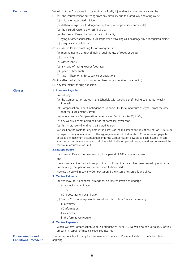**Exclusions** We will not pay Compensation for Accidental Bodily Injury directly or indirectly caused by

- (1) (a) the Insured Person suffering from any disability due to a gradually operating cause
	- (b) suicide or attempted suicide
	- (c) deliberate exposure to danger (except in an attempt to save human life)
	- (d) the Insured Person's own criminal act
	- (e) the Insured Person being in a state of insanity
	- (f) flying or other aerial activities (except while travelling as a passenger by a recognised airline)
	- (g) pregnancy or childbirth
- (2) an Insured Person practising for or taking part in
	- (a) mountaineering or rock climbing requiring use of ropes or guides
	- (b) pot-holing
	- (c) winter sports
	- (d) any kind of racing (except foot races)
	- (e) speed or time trials
	- (f) naval military or air force service or operations
- (3) the effects of alcohol or drugs (other than drugs prescribed by a doctor)
- (4) any treatment for drug addiction.

#### **Clauses 1. Amounts Payable**

#### We will pay

- (a) the Compensation stated in the Schedule with weekly benefit being paid at four weekly intervals
- (b) Compensation under Contingencies (7) and/or (8) for a maximum of 2 years from the date that the disablement started

but where We pay Compensation under any of Contingencies (1) to (6),

- (c) any weekly benefit being paid for the same injury will stop
- (d) this insurance will end for the Insured Person.

We shall not be liable for any amount in excess of the maximum accumulation limit of £1,000,000

in respect of any one accident. If the aggregate amount of all units of Compensation payable exceeds the maximum accumulation limit, the Compensation payable to each Insured Person shall be proportionately reduced until the total of all Compensation payable does not exceed the maximum accumulation limit.

#### **2. Disappearance**

If an Insured Person has been missing for a period of 180 consecutive days

and

there is sufficient evidence to support the conclusion that death has been caused by Accidental Bodily Injury, that person will be presumed to have died.

However, You will repay any Compensation if the Insured Person is found alive.

#### **3. Medical Evidence**

- (a) We may, at Our expense, arrange for an Insured Person to undergo
	- (i) a medical examination
		- $\cap$ r
	- (ii) a post mortem examination
- (b) You or Your legal representative will supply to Us, at Your expense, any
	- (i) certificate
	- (ii) information
	- (iii) evidence
	- in the format We require.

#### **4. Medical Expenses**

When We pay Compensation under Contingencies (7) or (8), We will also pay up to 15% of this amount in respect of medical expenses incurred.

#### **Endorsements and Conditions Precedent**

This Section is subject to any Endorsements or Conditions Precedent stated in the Schedule as applying.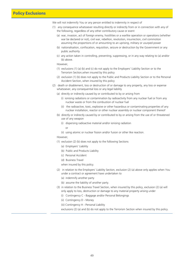### **Policy Exclusions**

We will not indemnify You or any person entitled to indemnity in respect of

- (1) any consequence whatsoever resulting directly or indirectly from or in connection with any of the following, regardless of any other contributory cause or event
	- (a) war, invasion, act of foreign enemy, hostilities or a warlike operation or operations (whether war be declared or not), civil war, rebellion, revolution, insurrection, civil commotion assuming the proportions of or amounting to an uprising, military or usurped power
	- (b) nationalisation, confiscation, requisition, seizure or destruction by the Government or any public authority
	- (c) any action taken in controlling, preventing, suppressing, or in any way relating to (a) and/or (b) above.

However,

- (1) exclusions (1) (a) (b) and (c) do not apply to the Employers' Liability Section or to the Terrorism Section,when insured by this policy
- (2) exclusion (1) (b) does not apply to the Public and Products Liability Section or to the Personal Accident Section, when insured by this policy
- (2) death or disablement, loss or destruction of or damage to any property, any loss or expense whatsoever, any consequential loss or any legal liability
	- (a) directly or indirectly caused by or contributed to by or arising from
		- (i) ionising radiations or contamination by radioactivity from any nuclear fuel or from any nuclear waste or from the combustion of nuclear fuel
		- (ii) the radioactive, toxic, explosive or other hazardous or contaminating properties of any nuclear installation, reactor or other nuclear assembly or nuclear component thereof
	- (b) directly or indirectly caused by or contributed to by or arising from the use of or threatened use of any weapon
		- (i) dispersing radioactive material and/or ionising radiation

or

(ii) using atomic or nuclear fission and/or fusion or other like reaction.

#### However,

- (1) exclusion (2) (b) does not apply to the following Sections
	- (a) Employers' Liability
	- (b) Public and Products Liability
	- (c) Personal Accident
	- (d) Business Travel

when insured by this policy.

- (2) in relation to the Employers' Liability Section, exclusion (2) (a) above only applies when You under a contract or agreement have undertaken to
	- (a) indemnify another party
	- (b) assume the liability of another party.
- (3) in relation to the Business Travel Section, when insured by this policy, exclusion (2) (a) will only apply to loss, destruction or damage to any material property arising under
	- (i) Contingency C Baggage and/or Personal Belongings
	- (ii) Contingency D Money
	- (iii) Contingency H Personal Liability

exclusions (2) (a) and (b) do not apply to the Terrorism Section when insured by this policy.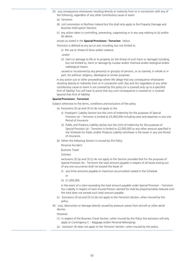- (4) any consequence whatsoever resulting directly or indirectly from or in connection with any of the following, regardless of any other contributory cause or event
	- (a) Terrorism
	- (b) civil commotion in Northern Ireland but this shall only apply to the Property Damage and Business Interruption Sections
	- (c) any action taken in controlling, preventing, suppressing or in any way relating to (a) and/or (b) above.

#### except as stated in the **Special Provisions - Terrorism** below.

Terrorism is defined as any act or acts including, but not limited to

(i) the use or threat of force and/or violence

and/or

(ii) harm or damage to life or to property (or the threat of such harm or damage) including, but not limited to, harm or damage by nuclear and/or chemical and/or biological and/or radiological means.

caused or occasioned by any person(s) or group(s) of persons, or so claimed, in whole or in part, for political, religious, ideological or similar purposes.

In any action suit or other proceedings where We allege that any consequence whatsoever resulting directly or indirectly from or in connection with 3(a) and 3(c) regardless of any other contributory cause or event is not covered by this policy (or is covered only up to a specified limit of liability) You will have to prove that any such consequence is covered (or is covered beyond that limit of liability)

#### **Special Provisions - Terrorism**

Subject otherwise to the terms, conditions and exclusions of the policy

- (a) Exclusions  $(3)$  (a) and  $(3)$  (c) do not apply to the
	- (i) Employers' Liability Section but the Limit of Indemnity for the purposes of Special Provision (a) – Terrorism is limited to £5,000,000 including costs and expenses in any one Period of Insurance
	- (ii) Public and Products Liability section but the Limit of Indemnity for the purposes of Special Provision (a) - Terrorism is limited to £2,000,000 or any other amount specified in the Schedule for Public and/or Products Liability whichever is the lower in any one Period of Insurance.
- (b) When the following Section is insured by this Policy

Personal Accident

Business Travel

Sickness

exclusions (3) (a) and (3) (c) do not apply to this Section provided that for the purposes of Special Provision (b) - Terrorism the total amount payable in respect of all losses arising out of any one occurrence shall not exceed the lesser of

(i) any limits amounts payable or maximum accumulation stated in the Schedule or

(ii) £1,000,000.

In the event of a claim exceeding the total amount payable under Special Provision – Terrorism Our Liability in respect of each Insured Person claimed for shall be proportionately reduced until the total does not exceed such total amount payable.

- (c) Exclusions (3) (a) and (3) (c) do not apply to the Terrorism Section, when insured by this policy.
- (4) Loss, destruction or damage directly caused by pressure waves from aircraft or other aerial devices.

However,

- (1) in respect of the Business Travel Section, when insured by this Policy this exclusion will only apply to Contingency C – Baggage and/or Personal Belongings.
- (2) exclusion (4) does not apply to the Terrorism Section, when insured by this policy.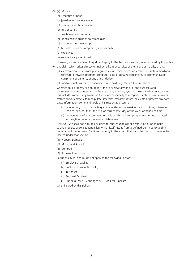- (5) (a) Money
	- (b) securities or bonds
	- (c) jewellery or precious stones
	- (d) precious metals or bullion
	- (e) furs or curios
	- (f) rare books or works of art
	- (g) goods held in trust or on commission
	- (h) documents or manuscripts
	- (i) business books or computer system records
	- (j) explosives

unless specifically mentioned.

However, exclusions (5) (a) to (j) do not apply to the Terrorism section, when insured by this policy.

- (6) any claim which arises directly or indirectly from or consists of the failure or inability of any:
	- (a) electronic circuit, microchip, integrated circuit, microprocessor, embedded system, hardware, software, firmware, program, computer, data processing equipment, telecommunication equipment or systems, or any similar device
	- (b) media or systems used in connection with anything referred to in (a) above

whether Your property or not, at any time to achieve any or all of the purposes and consequential effects intended by the use of any number, symbol or word to denote a date and this includes without any limitation the failure or inability to recognise, capture, save, retain or restore and/or correctly to manipulate, interpret, transmit, return, calculate or process any date, data, information, command, logic or instruction as a result of

- (i) recognising, using or adopting any date, day of the week or period of time, otherwise than as, or other than, the true or correct date, day of the week or period of time
- (ii) the operation of any command or logic which has been programmed or incorporated into anything referred to in (a) and (b) above.

However, We shall not exclude any claim for subsequent loss or destruction of or damage to any property or consequential loss which itself results from a Defined Contingency arising under any of the following Sections, but only to the extent that such claim would otherwise be insured under that Section

- (1) Property Damage
- (2) Money and Assault
- (3) Computer
- (4) Business Interruption.

Exclusions (6) (a) and (b) do not apply to the following Sections

- (1) Employers' Liability
- (2) Public and Products Liability
- (3) Terrorism
- (4) Personal Accident
- (5) Business Travel Contingency B1 Medical Expenses

when insured by this policy.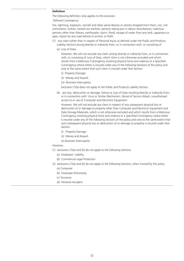#### **Definition**

The following definition only applies to this exclusion

'Defined Contingency'

fire, lightning, explosion, aircraft and other aerial devices or articles dropped from them, riot, civil commotion, strikers, locked out workers, persons taking part in labour disturbances, malicious persons other than thieves, earthquake, storm, flood, escape of water from any tank, apparatus or pipe, impact by any road vehicle or animal, or theft.

- (7) any claim (other than in respect of Personal Injury as defined under the Public and Products Liability Section) arising directly or indirectly from, or in connection with, or consisting of
	- (a) Loss of Data.

However, We will not exclude any claim arising directly or indirectly from, or in connection with, or consisting of Loss of Data, which claim is not otherwise excluded and which results from a Malicious Contingency involving physical force and violence or a Specified Contingency where either is insured under any of the following Sections of the policy and only to the same extent that such claim is insured under that Section.

- (i) Property Damage
- (ii) Money and Assault
- (iii) Business Interruption.

Exclusion (7)(a) does not apply to the Public and Products Liability Section.

(b) any loss, destruction or damage, Failure or Loss of Data resulting directly or indirectly from, or in connection with: Virus or Similar Mechanism, Denial of Service Attack, unauthorised access to or use of Computer and Electronic Equipment.

However, We will not exclude any claim in respect of any subsequent physical loss or destruction of or damage to property other than Computer and Electronic Equipment and Data Storage Materials, which is not otherwise excluded and which results from a Malicious Contingency involving physical force and violence or a Specified Contingency where either is insured under any of the following Sections of the policy and only to the same extent that such subsequent physical loss or destruction of or damage to property is insured under that Section.

- (i) Property Damage
- (ii) Money and Assault
- (iii) Business Interruption

#### However,

- (1) exclusions (7)(a) and (b) do not apply to the following Sections
	- (a) Employers' Liability
	- (b) Commercial Legal Protection
- (2) exclusions (7)(a) and (b) do not apply to the following Sections, when insured by this policy
	- (a) Computer
	- (b) Employee Dishonesty
	- (c) Terrorism
	- (d) Personal Accident.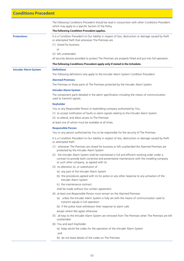### **Conditions Precedent**

The following Conditions Precedent should be read in conjunction with other Conditions Precedent which may apply to a specific Section of the Policy.

#### **The following Condition Precedent applies.**

**Protections** It is a Condition Precedent to Our liability in respect of loss, destruction or damage caused by theft or attempted theft that whenever The Premises are

- (1) closed for business
- $\alpha$ r
- (2) left unattended

all security devices provided to protect The Premises are properly fitted and put into full operation.

#### **The following Conditions Precedent apply only if stated in the Schedule.**

**Intruder Alarm System Definitions**

The following definitions only apply to the Intruder Alarm System Condition Precedent.

#### **Alarmed Premises**

The Premises or those parts of The Premises protected by the Intruder Alarm System.

#### **Intruder Alarm System**

The component parts detailed in the alarm specification including the means of communication used to transmit signals.

#### **Keyholder**

You or any Responsible Person or keyholding company authorised by You:

(1) to accept notification of faults or alarm signals relating to the Intruder Alarm System

(2) to attend, and allow access to The Premises

at least one of whom must be available at all times.

#### **Responsible Person**

You or any person authorised by You to be responsible for the security of The Premises.

It is a Condition Precedent to Our liability in respect of loss, destruction or damage caused by theft or attempted theft

- (1) whenever The Premises are closed for business or left unattended the Alarmed Premises are protected by the Intruder Alarm System
- (2) the Intruder Alarm System shall be maintained in full and efficient working order under a contract to provide both corrective and preventative maintenance with the installing company or such other company, as agreed with Us
- (3) no alteration to, or substitution of
	- (a) any part of the Intruder Alarm System
	- (b) the procedures agreed with Us for police or any other response to any activation of the Intruder Alarm System

(c) the maintenance contract.

shall be made without Our written agreement

- (4) at least one Responsible Person must remain on the Alarmed Premises
	- (a) unless the Intruder Alarm System is fully set with the means of communication used to transmit signals in full operation
	- (b) if the police have withdrawn their response to alarm calls
	- except where We agree otherwise
- (5) all keys to the Intruder Alarm System are removed from The Premises when The Premises are left unattended
- (6) You and each Keyholder

(a) keep secret the codes for the operation of the Intruder Alarm System

and

(b) do not leave details of the codes on The Premises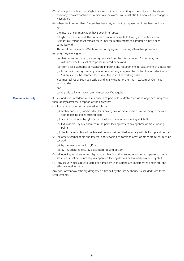|                         | (7) You appoint at least two Keyholders and notify this in writing to the police and the alarm<br>company who are contracted to maintain the alarm. You must also tell them of any change of<br>Keyholders |
|-------------------------|------------------------------------------------------------------------------------------------------------------------------------------------------------------------------------------------------------|
|                         | (8) when the Intruder Alarm System has been set, and notice is given that it has been activated                                                                                                            |
|                         | or                                                                                                                                                                                                         |
|                         | the means of communication have been interrupted                                                                                                                                                           |
|                         | a Keyholder must attend The Premises as soon as possible following such notice and a<br>Responsible Person must remain there until the requirements of paragraph 4 have been<br>complied with              |
|                         | This must be done unless We have previously agreed in writing alternative procedures                                                                                                                       |
|                         | (9) if You receive notice                                                                                                                                                                                  |
|                         | (a) that police response to alarm signals/calls from the Intruder Alarm System may be<br>withdrawn or the level of response reduced or delayed                                                             |
|                         | (b) from a local authority or magistrate imposing any requirements for abatement of a nuisance                                                                                                             |
|                         | (c) from the installing company or another company as agreed by Us that the Intruder Alarm<br>System cannot be returned to, or maintained in, full working order                                           |
|                         | You must tell Us as soon as possible and in any event no later that 10.00am on Our next<br>working day                                                                                                     |
|                         | and                                                                                                                                                                                                        |
|                         | comply with all alternative security measures We require.                                                                                                                                                  |
| <b>Minimum Security</b> | It is a Condition Precedent to Our liability in respect of loss, destruction or damage occurring more<br>than 30 days after the inception of the Policy that                                               |
|                         | (1) final exit doors must be secured as follows:                                                                                                                                                           |
|                         | (a) timber doors - by mortice deadlocks having five or more levers or conforming to BS3621<br>with matching boxed striking plate                                                                           |
|                         | (b) aluminum doors - by cylinder mortice lock operating a swinging lock bolt                                                                                                                               |
|                         | (c) PVCu doors - by key operated multi-point locking devices having three or more locking<br>points                                                                                                        |
|                         | (d) the first closing leaf of double leaf doors must be fitted internally with bolts top and bottom                                                                                                        |
|                         | (2) all other external doors and internal doors leading to common areas or other premises, must be<br>secured:                                                                                             |
|                         | (a) by the means set out in (1) or                                                                                                                                                                         |
|                         | (b) by key operated security bolts fitted top and bottom                                                                                                                                                   |
|                         | (3) all opening windows or roof lights accessible from the ground or via roofs, pipework or other<br>structures must be secured by key operated locking devices or screwed permanently shut                |
|                         | (4) any security measures stipulated or agreed by Us in writing are implemented and in full and<br>effective working order.                                                                                |
|                         | Any door or window officially designated a fire exit by the Fire Authority is excluded from these<br>requirements.                                                                                         |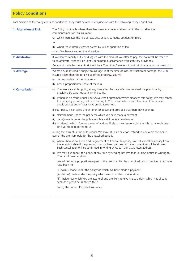# **Policy Conditions**

Each Section of the policy contains conditions. They must be read in conjunction with the following Policy Conditions.

| <b>1. Alteration of Risk</b> | The Policy is voidable where there has been any material alteration to the risk after the<br>commencement of this insurance                                                                                                                                                            |
|------------------------------|----------------------------------------------------------------------------------------------------------------------------------------------------------------------------------------------------------------------------------------------------------------------------------------|
|                              | (a) which increases the risk of loss, destruction, damage, accident or injury                                                                                                                                                                                                          |
|                              | <b>or</b>                                                                                                                                                                                                                                                                              |
|                              | (b) where Your interest ceases except by will or operation of law                                                                                                                                                                                                                      |
|                              | unless We have accepted the alteration.                                                                                                                                                                                                                                                |
| 2. Arbitration               | If We accept liability but You disagree with the amount We offer to pay, the claim will be referred<br>to an arbitrator who will be jointly appointed in accordance with statutory provisions.                                                                                         |
|                              | An award made by the arbitrator will be a Condition Precedent to a right of legal action against Us.                                                                                                                                                                                   |
| 3. Average                   | Where a Sum Insured is subject to average, if at the time of loss, destruction or damage, the Sum<br>Insured is less than the total value of the property, You will                                                                                                                    |
|                              | (a) be responsible for the difference                                                                                                                                                                                                                                                  |
|                              | (b) bear a proportionate share of the loss.                                                                                                                                                                                                                                            |
| <b>4. Cancellation</b>       | (a) You may cancel this policy at any time after the date We have received the premium, by<br>providing 30 days notice in writing to Us.                                                                                                                                               |
|                              | (b) If there is a default under Your Aviva credit agreement which finances this policy, We may cancel<br>this policy by providing notice in writing to You in accordance with the default termination<br>provisions set out in Your Aviva credit agreement.                            |
|                              | If Your policy is cancelled under (a) or (b) above and provided that there have been no                                                                                                                                                                                                |
|                              | (i) claim(s) made under the policy for which We have made a payment                                                                                                                                                                                                                    |
|                              | (ii) claim(s) made under the policy which are still under consideration                                                                                                                                                                                                                |
|                              | (iii) incident(s) which You are aware of and are likely to give rise to a claim which has already been<br>or is yet to be reported to Us                                                                                                                                               |
|                              | during the current Period of Insurance We may, at Our discretion, refund to You a proportionate<br>part of the premium paid for the unexpired period.                                                                                                                                  |
|                              | (c) Where there is no Aviva credit agreement to finance this policy, We will cancel this policy from<br>the inception date if the premium has not been paid and no return premium will be allowed.<br>Such cancellation will be confirmed in writing by Us to Your last known address. |
|                              | (d) We may also cancel this policy at any time by sending not less than 30 days notice in writing to<br>Your last known address.                                                                                                                                                       |
|                              | We will refund a proportionate part of the premium for the unexpired period provided that there<br>have been no                                                                                                                                                                        |
|                              | (i) claim(s) made under the policy for which We have made a payment<br>(ii) claim(s) made under the policy which are still under consideration                                                                                                                                         |
|                              | (iii) incident(s) which You are aware of and are likely to give rise to a claim which has already<br>been or is yet to be reported to Us,                                                                                                                                              |
|                              | during the current Period of Insurance.                                                                                                                                                                                                                                                |
|                              |                                                                                                                                                                                                                                                                                        |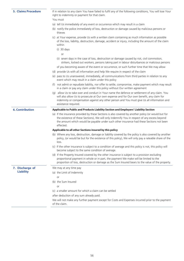**5. Claims Procedure** If in relation to any claim You have failed to fulfil any of the following conditions, You will lose Your right to indemnity or payment for that claim.

You must

- (a) tell Us immediately of any event or occurrence which may result in a claim
- (b) notify the police immediately of loss, destruction or damage caused by malicious persons or thieves
- (c) at Your expense, provide Us with a written claim containing as much information as possible of the loss, liability, destruction, damage, accident or injury, including the amount of the claim within
	- (i) 30 days

or

- (ii) seven days in the case of loss, destruction or damage caused by riot, civil commotion, strikers, locked out workers, persons taking part in labour disturbances or malicious persons of you becoming aware of the event or occurrence, or such further time that We may allow
- (d) provide Us with all information and help We require in respect of the claim
- (e) pass to Us unanswered, immediately, all communications from third parties in relation to any event which may result in a claim under this policy
- (f) not admit or repudiate liability, nor offer to settle, compromise, make payment which may result in a claim or pay any claim under this policy without Our written agreement
- (g) allow Us to take over and conduct in Your name the defence or settlement of any claim. You will also allow Us to prosecute at Our own expense and for Our own benefit, any claim for indemnity or compensation against any other person and You must give Us all information and assistance required.

#### **6. Contribution Applicable to Public and Products Liability Section and Employers' Liability Section**

(a) If the insurance provided by these Sections is also covered by another policy (or would but for the existence of these Sections), We will only indemnify You in respect of any excess beyond the amount which would be payable under such other insurance had these Sections not been effected.

#### **Applicable to all other Sections insured by this policy**

We may at any time pay (a) the Limit of Indemnity

(b) the Sum Insured

or

 $\alpha$ r

- (b) Where any loss, destruction, damage or liability covered by the policy is also covered by another policy, (or would be but for the existence of this policy), We will only pay a rateable share of the loss.
- (c) If the other insurance is subject to a condition of average and this policy is not, this policy will become subject to the same condition of average.
- (d) If the Property Insured covered by the other insurance is subject to a provision excluding proportional payment in whole or in part, the payment We make will be limited to the proportion of loss, destruction or damage as the Sum Insured bears to the value of the property.

**7. Discharge of Liability**

(c) a smaller amount for which a claim can be settled

after deduction of any sum already paid.

We will not make any further payment except for Costs and Expenses incurred prior to the payment of the claim.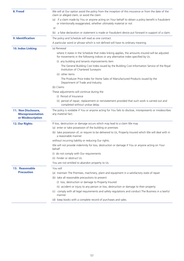| 8. Fraud                                                             | We will at Our option avoid the policy from the inception of this insurance or from the date of the<br>claim or alleged claim, or avoid the claim                                    |
|----------------------------------------------------------------------|--------------------------------------------------------------------------------------------------------------------------------------------------------------------------------------|
|                                                                      | (a) if a claim made by You or anyone acting on Your behalf to obtain a policy benefit is fraudulent<br>or intentionally exaggerated, whether ultimately material or not              |
|                                                                      | or                                                                                                                                                                                   |
|                                                                      | a false declaration or statement is made or fraudulent device put forward in support of a claim.<br>(b)                                                                              |
| 9. Identification                                                    | The policy and Schedule will read as one contract.                                                                                                                                   |
|                                                                      | A particular word or phrase which is not defined will have its ordinary meaning.                                                                                                     |
| <b>10. Index Linking</b>                                             | (a) Renewal                                                                                                                                                                          |
|                                                                      | where it states in the Schedule that index linking applies, the amounts insured will be adjusted<br>for movements in the following indices or any alternative index specified by Us. |
|                                                                      | (i) any building and tenants improvements item                                                                                                                                       |
|                                                                      | The General Building Cost Index issued by the Building Cost Information Service of the Royal<br>Institution of Chartered Surveyors                                                   |
|                                                                      | (ii) other items                                                                                                                                                                     |
|                                                                      | The Producer Price Index for Home Sales of Manufactured Products issued by the<br>Department of Trade and Industry.                                                                  |
|                                                                      | (b) Claims                                                                                                                                                                           |
|                                                                      | These adjustments will continue during the                                                                                                                                           |
|                                                                      | (i) Period of Insurance                                                                                                                                                              |
|                                                                      | (ii) period of repair, replacement or reinstatement provided that such work is carried out and<br>completed without undue delay.                                                     |
| 11. Non Disclosure,<br><b>Misrepresentation</b><br>or Misdescription | The policy is voidable if You or anyone acting for You fails to disclose, misrepresents or misdescribes<br>any material fact.                                                        |
| <b>12. Our Rights</b>                                                | If loss, destruction or damage occurs which may lead to a claim We may                                                                                                               |
|                                                                      | (a) enter or take possession of the building or premises                                                                                                                             |
|                                                                      | (b) take possession of, or require to be delivered to Us, Property Insured which We will deal with in<br>a reasonable manner                                                         |
|                                                                      | without incurring liability or reducing Our rights.                                                                                                                                  |
|                                                                      | We will not provide indemnity for loss, destruction or damage if You or anyone acting on Your<br>behalf                                                                              |
|                                                                      | (i) do not comply with Our requirements                                                                                                                                              |
|                                                                      | (ii) hinder or obstruct Us.                                                                                                                                                          |
|                                                                      | You are not entitled to abandon property to Us.                                                                                                                                      |
| 13. Reasonable                                                       | You will                                                                                                                                                                             |
| <b>Precaution</b>                                                    | (a) maintain The Premises, machinery, plant and equipment in a satisfactory state of repair                                                                                          |
|                                                                      | (b) take all reasonable precautions to prevent                                                                                                                                       |
|                                                                      | (i) loss, destruction or damage to Property Insured                                                                                                                                  |
|                                                                      | (ii) accident or injury to any person or loss, destruction or damage to their property                                                                                               |
|                                                                      | comply with all legal requirements and safety regulations and conduct The Business in a lawful<br>(C)<br>manner                                                                      |
|                                                                      | (d) keep books with a complete record of purchases and sales.                                                                                                                        |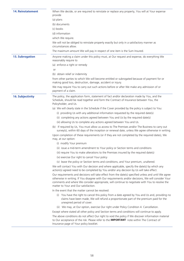| <b>14. Reinstatement</b> | When We decide, or are required to reinstate or replace any property, You will at Your expense<br>provide                                                                                                                                                                                                                                             |
|--------------------------|-------------------------------------------------------------------------------------------------------------------------------------------------------------------------------------------------------------------------------------------------------------------------------------------------------------------------------------------------------|
|                          | (a) plans                                                                                                                                                                                                                                                                                                                                             |
|                          | (b) documents                                                                                                                                                                                                                                                                                                                                         |
|                          | (c) books                                                                                                                                                                                                                                                                                                                                             |
|                          | (d) information                                                                                                                                                                                                                                                                                                                                       |
|                          | which We require.                                                                                                                                                                                                                                                                                                                                     |
|                          | We will not be obliged to reinstate property exactly but only in a satisfactory manner as                                                                                                                                                                                                                                                             |
|                          | circumstances allow.                                                                                                                                                                                                                                                                                                                                  |
|                          | The maximum amount We will pay in respect of one item is the Sum Insured.                                                                                                                                                                                                                                                                             |
| <b>15. Subrogation</b>   | Anyone making a claim under this policy must, at Our request and expense, do everything We<br>reasonably require to                                                                                                                                                                                                                                   |
|                          | (a) enforce a right or remedy                                                                                                                                                                                                                                                                                                                         |
|                          | <b>or</b>                                                                                                                                                                                                                                                                                                                                             |
|                          | (b) obtain relief or indemnity                                                                                                                                                                                                                                                                                                                        |
|                          | from other parties to which We will become entitled or subrogated because of payment for or<br>making good loss, destruction, damage, accident or injury.                                                                                                                                                                                             |
|                          | We may require You to carry out such actions before or after We make any admission of or<br>payment of a claim.                                                                                                                                                                                                                                       |
| <b>16. Subjectivity</b>  | The policy, the application form, statement of fact and/or declaration made by You, and the<br>Schedule, should be read together and form the Contract of Insurance between You, the<br>Policyholder, and Us.                                                                                                                                         |
|                          | (a) We will clearly state in the Schedule if the Cover provided by the policy is subject to You:                                                                                                                                                                                                                                                      |
|                          | (i) providing Us with any additional information requested by the required date(s)                                                                                                                                                                                                                                                                    |
|                          | (ii) completing any actions agreed between You and Us by the required date(s)                                                                                                                                                                                                                                                                         |
|                          | (iii) allowing Us to complete any actions agreed between You and Us.                                                                                                                                                                                                                                                                                  |
|                          | (b) If required by Us, You must allow us access to The Premises and/or The Business to carry out<br>survey(s), within 60 days of the inception or renewal date, unless We agree otherwise in writing.                                                                                                                                                 |
|                          | Upon completion of these requirements (or if they are not completed by the required dates), We<br>may, at our option:                                                                                                                                                                                                                                 |
|                          | (i) modify Your premium                                                                                                                                                                                                                                                                                                                               |
|                          | (ii) issue a mid-term amendment to Your policy or Section terms and conditions                                                                                                                                                                                                                                                                        |
|                          | (iii) require You to make alterations to the Premises insured by the required date(s)                                                                                                                                                                                                                                                                 |
|                          | (iv) exercise Our right to cancel Your policy                                                                                                                                                                                                                                                                                                         |
|                          | (v) leave the policy or Section terms and conditions, and Your premium, unaltered.                                                                                                                                                                                                                                                                    |
|                          | We will contact You with Our decision and where applicable, specify the date(s) by which any<br>action(s) agreed need to be completed by You and/or any decision by Us will take effect.                                                                                                                                                              |
|                          | Our requirements and decisions will take effect from the date(s) specified unless and until We agree<br>otherwise in writing. If You disagree with Our requirements and/or decisions, We will consider Your<br>comments and where We consider appropriate, will continue to negotiate with You to resolve the<br>matter to Your and Our satisfaction. |
|                          | In the event that the matter cannot be resolved:                                                                                                                                                                                                                                                                                                      |
|                          | (i) You have the right to cancel this policy from a date agreed by You and Us and, providing no<br>claims have been made, We will refund a proportionate part of the premium paid for the<br>unexpired period of cover.                                                                                                                               |
|                          | (ii) We may, at Our option, exercise Our right under Policy Condition 4. Cancellation.                                                                                                                                                                                                                                                                |
|                          | Except where stated all other policy and Section terms and conditions will continue to apply.                                                                                                                                                                                                                                                         |
|                          | The above conditions do not affect Our right to void the policy if We discover information material<br>to Our acceptance of the risk. Please refer to the IMPORTANT note within The Contract of<br>Insurance page of Your policy booklet.                                                                                                             |
|                          |                                                                                                                                                                                                                                                                                                                                                       |